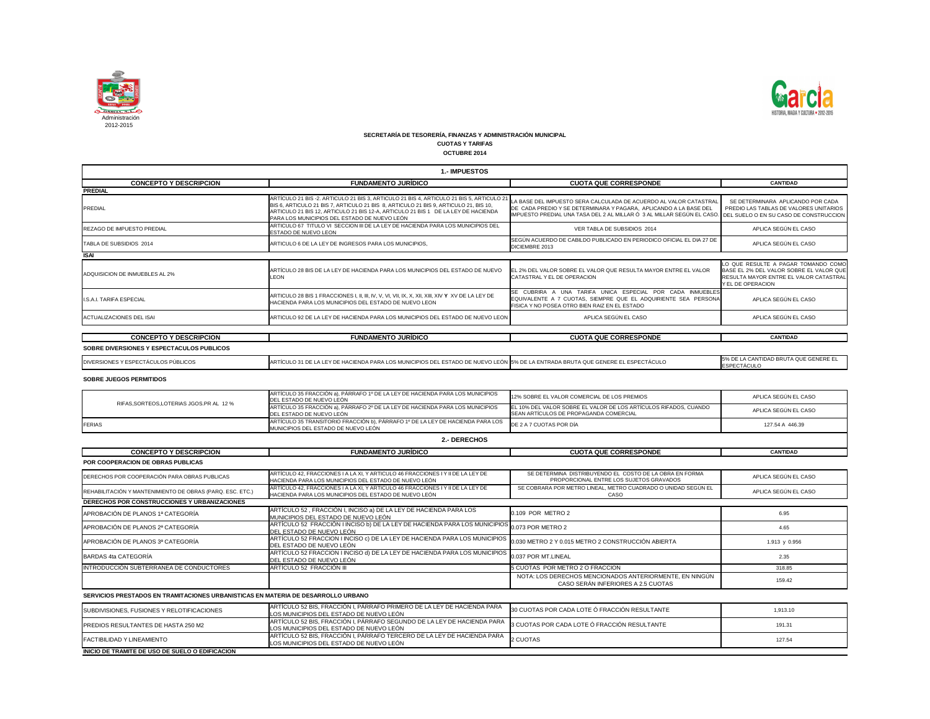

| 1.- IMPUESTOS                             |                                                                                                                                                                                                                                                                                                                      |                                                                                                                                                                                                                                                          |                                                                                                                                                |  |
|-------------------------------------------|----------------------------------------------------------------------------------------------------------------------------------------------------------------------------------------------------------------------------------------------------------------------------------------------------------------------|----------------------------------------------------------------------------------------------------------------------------------------------------------------------------------------------------------------------------------------------------------|------------------------------------------------------------------------------------------------------------------------------------------------|--|
| <b>CONCEPTO Y DESCRIPCION</b>             | <b>FUNDAMENTO JURÍDICO</b>                                                                                                                                                                                                                                                                                           | <b>CUOTA QUE CORRESPONDE</b>                                                                                                                                                                                                                             | <b>CANTIDAD</b>                                                                                                                                |  |
| <b>PREDIAL</b>                            |                                                                                                                                                                                                                                                                                                                      |                                                                                                                                                                                                                                                          |                                                                                                                                                |  |
| PREDIAL                                   | ARTÍCULO 21 BIS -2. ARTICULO 21 BIS 3, ARTICULO 21 BIS 4, ARTICULO 21 BIS 5, ARTICULO 2<br>BIS 6, ARTICULO 21 BIS 7, ARTICULO 21 BIS 8, ARTICULO 21 BIS 9, ARTICULO 21, BIS 10,<br>ARTICULO 21 BIS 12, ARTICULO 21 BIS 12-A, ARTICULO 21 BIS 1 DE LA LEY DE HACIENDA<br>PARA LOS MUNICIPIOS DEL ESTADO DE NUEVO LEÓN | LA BASE DEL IMPUESTO SERA CALCULADA DE ACUERDO AL VALOR CATASTRAI<br>DE CADA PREDIO Y SE DETERMINARA Y PAGARA, APLICANDO A LA BASE DEL<br>IMPUESTO PREDIAL UNA TASA DEL 2 AL MILLAR Ó 3 AL MILLAR SEGÚN EL CASO. DDEL SUELO O EN SU CASO DE CONSTRUCCION | SE DETERMINARA APLICANDO POR CADA<br>PREDIO LAS TABLAS DE VALORES UNITARIOS                                                                    |  |
| <b>REZAGO DE IMPUESTO PREDIAL</b>         | ARTICULO 67 TITULO VI SECCION III DE LA LEY DE HACIENDA PARA LOS MUNICIPIOS DEL<br><b>ESTADO DE NUEVO LEON</b>                                                                                                                                                                                                       | VER TABLA DE SUBSIDIOS 2014                                                                                                                                                                                                                              | APLICA SEGÚN EL CASO                                                                                                                           |  |
| TABLA DE SUBSIDIOS 2014                   | ARTICULO 6 DE LA LEY DE INGRESOS PARA LOS MUNICIPIOS.                                                                                                                                                                                                                                                                | SEGÚN ACUERDO DE CABILDO PUBLICADO EN PERIODICO OFICIAL EL DIA 27 DE<br>DICIEMBRE 2013                                                                                                                                                                   | APLICA SEGÚN EL CASO                                                                                                                           |  |
| <b>ISAI</b>                               |                                                                                                                                                                                                                                                                                                                      |                                                                                                                                                                                                                                                          |                                                                                                                                                |  |
| ADQUISICION DE INMUEBLES AL 2%            | ARTÍCULO 28 BIS DE LA LEY DE HACIENDA PARA LOS MUNICIPIOS DEL ESTADO DE NUEVO<br><b>LEON</b>                                                                                                                                                                                                                         | EL 2% DEL VALOR SOBRE EL VALOR QUE RESULTA MAYOR ENTRE EL VALOR<br>CATASTRAL Y EL DE OPERACION                                                                                                                                                           | LO QUE RESULTE A PAGAR TOMANDO COMO<br>BASE EL 2% DEL VALOR SOBRE EL VALOR QUE<br>RESULTA MAYOR ENTRE EL VALOR CATASTRAL<br>IY EL DE OPERACION |  |
| <b>I.S.A.I. TARIFA ESPECIAL</b>           | <b>HACIENDA PARA LOS MUNICIPIOS DEL ESTADO DE NUEVO LEON</b>                                                                                                                                                                                                                                                         | SE CUBRIRA A UNA TARIFA UNICA ESPECIAL POR CADA INMUEBLES<br>EQUIVALENTE A 7 CUOTAS, SIEMPRE QUE EL ADQUIRIENTE SEA PERSONA<br>FISICA Y NO POSEA OTRO BIEN RAIZ EN EL ESTADO                                                                             | APLICA SEGÚN EL CASO                                                                                                                           |  |
| <b>ACTUALIZACIONES DEL ISAI</b>           | ARTICULO 92 DE LA LEY DE HACIENDA PARA LOS MUNICIPIOS DEL ESTADO DE NUEVO LEON                                                                                                                                                                                                                                       | APLICA SEGÚN EL CASO                                                                                                                                                                                                                                     | APLICA SEGÚN EL CASO                                                                                                                           |  |
|                                           |                                                                                                                                                                                                                                                                                                                      |                                                                                                                                                                                                                                                          |                                                                                                                                                |  |
| <b>CONCEPTO Y DESCRIPCION</b>             | <b>FUNDAMENTO JURÍDICO</b>                                                                                                                                                                                                                                                                                           | <b>CUOTA QUE CORRESPONDE</b>                                                                                                                                                                                                                             | <b>CANTIDAD</b>                                                                                                                                |  |
| SOBRE DIVERSIONES Y ESPECTACULOS PUBLICOS |                                                                                                                                                                                                                                                                                                                      |                                                                                                                                                                                                                                                          |                                                                                                                                                |  |
| DIVERSIONES Y ESPECTÁCULOS PÚBLICOS       | ARTÍCULO 31 DE LA LEY DE HACIENDA PARA LOS MUNICIPIOS DEL ESTADO DE NUEVO LEÓN 5% DE LA ENTRADA BRUTA QUE GENERE EL ESPECTÁCULO                                                                                                                                                                                      |                                                                                                                                                                                                                                                          | 5% DE LA CANTIDAD BRUTA QUE GENERE EL<br>ESPECTÁCULO                                                                                           |  |

| RIFAS.SORTEOS.LOTERIAS JGOS.PR AL 12 % | ARTÍCULO 35 FRACCIÓN a), PÁRRAFO 1º DE LA LEY DE HACIENDA PARA LOS MUNICIPIOS<br>DEL ESTADO DE NUEVO LEÓN                                     | 12% SOBRE EL VALOR COMERCIAL DE LOS PREMIOS                                                                 | APLICA SEGÚN EL CASO |
|----------------------------------------|-----------------------------------------------------------------------------------------------------------------------------------------------|-------------------------------------------------------------------------------------------------------------|----------------------|
|                                        | ARTÍCULO 35 FRACCIÓN a), PÁRRAFO 2º DE LA LEY DE HACIENDA PARA LOS MUNICIPIOS<br>DEL ESTADO DE NUEVO LEÓN                                     | LEL 10% DEL VALOR SOBRE EL VALOR DE LOS ARTÍCULOS RIFADOS. CUANDO<br>SEAN ARTICULOS DE PROPAGANDA COMERCIAL | APLICA SEGÚN EL CASO |
| <b>FERIAS</b>                          | ARTÍCULO 35 TRANSITORIO FRACCIÓN b), PÁRRAFO 1º DE LA LEY DE HACIENDA PARA LOS DE 2 A 7 CUOTAS POR DÍA<br>MUNICIPIOS DEL ESTADO DE NUEVO LEÓN |                                                                                                             | 127.54 A 446.39      |

| <b>CONCEPTO Y DESCRIPCION</b>                                                    | <b>FUNDAMENTO JURÍDICO</b>                                                                                                                                          | <b>CUOTA QUE CORRESPONDE</b>                                                                       | <b>CANTIDAD</b>      |
|----------------------------------------------------------------------------------|---------------------------------------------------------------------------------------------------------------------------------------------------------------------|----------------------------------------------------------------------------------------------------|----------------------|
| POR COOPERACION DE OBRAS PUBLICAS                                                |                                                                                                                                                                     |                                                                                                    |                      |
| DERECHOS POR COOPERACIÓN PARA OBRAS PUBLICAS                                     | ARTÍCULO 42, FRACCIONES I A LA XI, Y ARTICULO 46 FRACCIONES I Y II DE LA LEY DE<br>HACIENDA PARA LOS MUNICIPIOS DEL ESTADO DE NUEVO LEÓN                            | SE DETERMINA DISTRIBUYENDO EL COSTO DE LA OBRA EN FORMA<br>PROPORCIONAL ENTRE LOS SUJETOS GRAVADOS | APLICA SEGÚN EL CASO |
| REHABILITACIÓN Y MANTENIMIENTO DE OBRAS (PARQ. ESC. ETC.)                        | ARTÍCULO 42, FRACCIONES I A LA XI, Y ARTICULO 46 FRACCIONES I Y II DE LA LEY DE<br>HACIENDA PARA LOS MUNICIPIOS DEL ESTADO DE NUEVO LEÓN                            | SE COBRARA POR METRO LINEAL. METRO CUADRADO O UNIDAD SEGÚN EL<br>CASO                              | APLICA SEGÚN EL CASO |
| DERECHOS POR CONSTRUCCIONES Y URBANIZACIONES                                     |                                                                                                                                                                     |                                                                                                    |                      |
| APROBACIÓN DE PLANOS 1ª CATEGORÍA                                                | ARTÍCULO 52, FRACCIÓN I, INCISO a) DE LA LEY DE HACIENDA PARA LOS<br>MUNICIPIOS DEL ESTADO DE NUEVO LEÓN                                                            | 0.109 POR METRO 2                                                                                  | 6.95                 |
| APROBACIÓN DE PLANOS 2ª CATEGORÍA                                                | ARTÍCULO 52 FRACCIÓN I INCISO b) DE LA LEY DE HACIENDA PARA LOS MUNICIPIOS 0.073 POR METRO 2<br>DEL ESTADO DE NUEVO LEÓN                                            |                                                                                                    | 4.65                 |
| APROBACIÓN DE PLANOS 3ª CATEGORÍA                                                | ARTÍCULO 52 FRACCION I INCISO c) DE LA LEY DE HACIENDA PARA LOS MUNICIPIOS $\big _{0.030}$ METRO 2 Y 0.015 METRO 2 CONSTRUCCIÓN ABIERTA<br>DEL ESTADO DE NUEVO LEÓN |                                                                                                    | 1.913 y 0.956        |
| BARDAS 4ta CATEGORÍA                                                             | ARTÍCULO 52 FRACCION I INCISO d) DE LA LEY DE HACIENDA PARA LOS MUNICIPIOS 0.037 POR MT.LINEAL<br>DEL ESTADO DE NUEVO LEÓN                                          |                                                                                                    | 2.35                 |
| INTRODUCCIÓN SUBTERRANEA DE CONDUCTORES                                          | ARTÍCULO 52 FRACCIÓN III                                                                                                                                            | 5 CUOTAS POR METRO 2 O FRACCION                                                                    | 318.85               |
|                                                                                  |                                                                                                                                                                     | NOTA: LOS DERECHOS MENCIONADOS ANTERIORMENTE, EN NINGÚN<br>CASO SERÁN INFERIORES A 2.5 CUOTAS      | 159.42               |
| AEDUAJAA BREATARAA EN TRAMITAAJANEA URRANIATIAAA EN MATERIA BE BEAARRALLA URRANA |                                                                                                                                                                     |                                                                                                    |                      |

| <b>2.- DERECHOS</b> |  |
|---------------------|--|
|---------------------|--|

| SUBDIVISIONES, FUSIONES Y RELOTIFICACIONES      | ARTÍCULO 52 BIS, FRACCIÓN I, PÁRRAFO PRIMERO DE LA LEY DE HACIENDA PARA<br>LOS MUNICIPIOS DEL ESTADO DE NUEVO LEÓN                                               | 30 CUOTAS POR CADA LOTE Ó FRACCIÓN RESULTANTE | 1,913.10 |
|-------------------------------------------------|------------------------------------------------------------------------------------------------------------------------------------------------------------------|-----------------------------------------------|----------|
| PREDIOS RESULTANTES DE HASTA 250 M2             | ARTÍCULO 52 BIS, FRACCIÓN I, PÁRRAFO SEGUNDO DE LA LEY DE HACIENDA PARA 13 CUOTAS POR CADA LOTE Ó FRACCIÓN RESULTANTE<br>LOS MUNICIPIOS DEL ESTADO DE NUEVO LEÓN |                                               | 191.31   |
| FACTIBILIDAD Y LINEAMIENTO                      | ARTÍCULO 52 BIS, FRACCIÓN I, PÁRRAFO TERCERO DE LA LEY DE HACIENDA PARA<br>LOS MUNICIPIOS DEL ESTADO DE NUEVO LEÓN                                               | 2 CUOTAS                                      | 127.54   |
| INICIO DE TRAMITE DE USO DE SUELO O EDIFICACION |                                                                                                                                                                  |                                               |          |



**SOBRE JUEGOS PERMITIDOS**

#### **SECRETARÍA DE TESORERÍA, FINANZAS Y ADMINISTRACIÓN MUNICIPAL**

**CUOTAS Y TARIFAS**

**OCTUBRE 2014**

**SERVICIOS PRESTADOS EN TRAMITACIONES URBANISTICAS EN MATERIA DE DESARROLLO URBANO**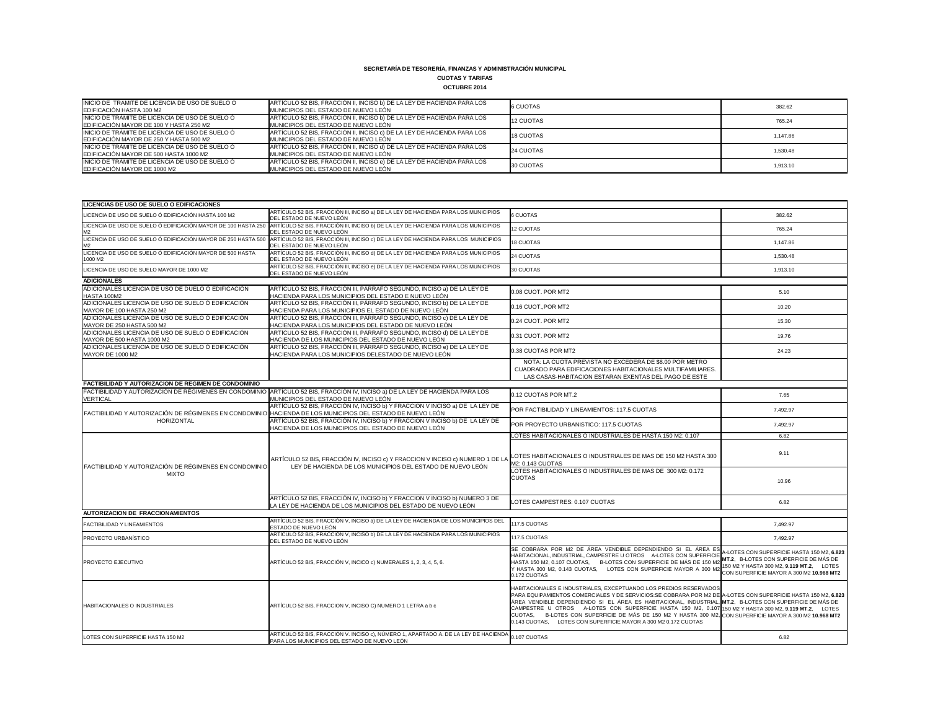## **CUOTAS Y TARIFAS**

| <b>OCTUBRE 2014</b> |
|---------------------|
|---------------------|

| INICIO DE TRAMITE DE LICENCIA DE USO DE SUELO O<br><b>EDIFICACIÓN HASTA 100 M2</b>                 | ARTÍCULO 52 BIS, FRACCIÓN II, INCISO b) DE LA LEY DE HACIENDA PARA LOS<br><b>IMUNICIPIOS DEL ESTADO DE NUEVO LEÓN</b> | 6 CUOTAS  | 382.62   |
|----------------------------------------------------------------------------------------------------|-----------------------------------------------------------------------------------------------------------------------|-----------|----------|
| INICIO DE TRÁMITE DE LICENCIA DE USO DE SUELO Ó<br><b>IEDIFICACIÓN MAYOR DE 100 Y HASTA 250 M2</b> | ARTÍCULO 52 BIS, FRACCIÓN II, INCISO b) DE LA LEY DE HACIENDA PARA LOS<br><b>IMUNICIPIOS DEL ESTADO DE NUEVO LEÓN</b> | 12 CUOTAS | 765.24   |
| INICIO DE TRÁMITE DE LICENCIA DE USO DE SUELO Ó<br>EDIFICACIÓN MAYOR DE 250 Y HASTA 500 M2         | ARTÍCULO 52 BIS, FRACCIÓN II, INCISO c) DE LA LEY DE HACIENDA PARA LOS<br><b>IMUNICIPIOS DEL ESTADO DE NUEVO LEÓN</b> | 18 CUOTAS | 1,147.86 |
| INICIO DE TRÁMITE DE LICENCIA DE USO DE SUELO Ó<br>EDIFICACIÓN MAYOR DE 500 HASTA 1000 M2          | ARTÍCULO 52 BIS, FRACCIÓN II, INCISO d) DE LA LEY DE HACIENDA PARA LOS<br>MUNICIPIOS DEL ESTADO DE NUEVO LEÓN         | 24 CUOTAS | 1.530.48 |
| INICIO DE TRÁMITE DE LICENCIA DE USO DE SUELO Ó<br>EDIFICACIÓN MAYOR DE 1000 M2                    | ARTÍCULO 52 BIS, FRACCIÓN II, INCISO e) DE LA LEY DE HACIENDA PARA LOS<br>MUNICIPIOS DEL ESTADO DE NUEVO LEÓN         | 30 CUOTAS | 1,913.10 |

| <b>LICENCIAS DE USO DE SUELO O EDIFICACIONES</b>                                                           |                                                                                                                                                            |                                                                                                                                                                                                                                                                                                                                                                                                                                                                                                                                                                                       |                                                                                                                                                                              |
|------------------------------------------------------------------------------------------------------------|------------------------------------------------------------------------------------------------------------------------------------------------------------|---------------------------------------------------------------------------------------------------------------------------------------------------------------------------------------------------------------------------------------------------------------------------------------------------------------------------------------------------------------------------------------------------------------------------------------------------------------------------------------------------------------------------------------------------------------------------------------|------------------------------------------------------------------------------------------------------------------------------------------------------------------------------|
| LICENCIA DE USO DE SUELO Ó EDIFICACIÓN HASTA 100 M2                                                        | ARTÍCULO 52 BIS, FRACCIÓN III, INCISO a) DE LA LEY DE HACIENDA PARA LOS MUNICIPIOS<br>DEL ESTADO DE NUEVO LEÓN                                             | <b>6 CUOTAS</b>                                                                                                                                                                                                                                                                                                                                                                                                                                                                                                                                                                       | 382.62                                                                                                                                                                       |
| LICENCIA DE USO DE SUELO Ó EDIFICACIÓN MAYOR DE 100 HASTA 250<br>M <sub>2</sub>                            | ARTÍCULO 52 BIS, FRACCIÓN III, INCISO b) DE LA LEY DE HACIENDA PARA LOS MUNICIPIOS<br>DEL ESTADO DE NUEVO LEÓN                                             | <b>12 CUOTAS</b>                                                                                                                                                                                                                                                                                                                                                                                                                                                                                                                                                                      | 765.24                                                                                                                                                                       |
| LICENCIA DE USO DE SUELO Ó EDIFICACIÓN MAYOR DE 250 HASTA 500<br>M <sub>2</sub>                            | ARTÍCULO 52 BIS, FRACCIÓN III, INCISO c) DE LA LEY DE HACIENDA PARA LOS MUNICIPIOS<br>DEL ESTADO DE NUEVO LEÓN                                             | <b>18 CUOTAS</b>                                                                                                                                                                                                                                                                                                                                                                                                                                                                                                                                                                      | 1,147.86                                                                                                                                                                     |
| LICENCIA DE USO DE SUELO Ó EDIFICACIÓN MAYOR DE 500 HASTA<br>1000 M2                                       | ARTÍCULO 52 BIS, FRACCIÓN III, INCISO d) DE LA LEY DE HACIENDA PARA LOS MUNICIPIOS<br>DEL ESTADO DE NUEVO LEÓN                                             | 24 CUOTAS                                                                                                                                                                                                                                                                                                                                                                                                                                                                                                                                                                             | 1,530.48                                                                                                                                                                     |
| LICENCIA DE USO DE SUELO MAYOR DE 1000 M2                                                                  | ARTÍCULO 52 BIS, FRACCIÓN III, INCISO e) DE LA LEY DE HACIENDA PARA LOS MUNICIPIOS<br>DEL ESTADO DE NUEVO LEÓN                                             | 30 CUOTAS                                                                                                                                                                                                                                                                                                                                                                                                                                                                                                                                                                             | 1,913.10                                                                                                                                                                     |
| <b>ADICIONALES</b>                                                                                         |                                                                                                                                                            |                                                                                                                                                                                                                                                                                                                                                                                                                                                                                                                                                                                       |                                                                                                                                                                              |
| ADICIONALES LICENCIA DE USO DE DUELO Ó EDIFICACIÓN<br>HASTA 100M2                                          | ARTÍCULO 52 BIS, FRACCIÓN III, PÁRRAFO SEGUNDO, INCISO a) DE LA LEY DE<br>HACIENDA PARA LOS MUNICIPIOS DEL ESTADO E NUEVO LEÓN                             | 0.08 CUOT. POR MT2                                                                                                                                                                                                                                                                                                                                                                                                                                                                                                                                                                    | 5.10                                                                                                                                                                         |
| ADICIONALES LICENCIA DE USO DE SUELO Ó EDIFICACIÓN<br>MAYOR DE 100 HASTA 250 M2                            | ARTÍCULO 52 BIS, FRACCIÓN III, PÁRRAFO SEGUNDO, INCISO b) DE LA LEY DE<br>HACIENDA PARA LOS MUNICIPIOS EL ESTADO DE NUEVO LEÓN                             | 0.16 CUOT., POR MT2                                                                                                                                                                                                                                                                                                                                                                                                                                                                                                                                                                   | 10.20                                                                                                                                                                        |
| ADICIONALES LICENCIA DE USO DE SUELO Ó EDIFICACIÓN<br>MAYOR DE 250 HASTA 500 M2                            | ARTÍCULO 52 BIS, FRACCIÓN III, PÁRRAFO SEGUNDO, INCISO c) DE LA LEY DE<br>HACIENDA PARA LOS MUNICIPIOS DEL ESTADO DE NUEVO LEÓN                            | 0.24 CUOT. POR MT2                                                                                                                                                                                                                                                                                                                                                                                                                                                                                                                                                                    | 15.30                                                                                                                                                                        |
| ADICIONALES LICENCIA DE USO DE SUELO Ó EDIFICACIÓN<br>MAYOR DE 500 HASTA 1000 M2                           | ARTÍCULO 52 BIS, FRACCIÓN III, PÁRRAFO SEGUNDO, INCISO d) DE LA LEY DE<br>HACIENDA DE LOS MUNICIPIOS DEL ESTADO DE NUEVO LEÓN                              | 0.31 CUOT. POR MT2                                                                                                                                                                                                                                                                                                                                                                                                                                                                                                                                                                    | 19.76                                                                                                                                                                        |
| ADICIONALES LICENCIA DE USO DE SUELO Ó EDIFICACIÓN<br><b>MAYOR DE 1000 M2</b>                              | ARTÍCULO 52 BIS, FRACCIÓN III, PÁRRAFO SEGUNDO, INCISO e) DE LA LEY DE<br>HACIENDA PARA LOS MUNICIPIOS DELESTADO DE NUEVO LEÓN                             | 0.38 CUOTAS POR MT2                                                                                                                                                                                                                                                                                                                                                                                                                                                                                                                                                                   | 24.23                                                                                                                                                                        |
|                                                                                                            |                                                                                                                                                            | NOTA: LA CUOTA PREVISTA NO EXCEDERÁ DE \$8.00 POR METRO<br>CUADRADO PARA EDIFICACIONES HABITACIONALES MULTIFAMILIARES.<br>LAS CASAS-HABITACION ESTARAN EXENTAS DEL PAGO DE ESTE                                                                                                                                                                                                                                                                                                                                                                                                       |                                                                                                                                                                              |
| <b>FACTIBILIDAD Y AUTORIZACION DE REGIMEN DE CONDOMINIO</b>                                                |                                                                                                                                                            |                                                                                                                                                                                                                                                                                                                                                                                                                                                                                                                                                                                       |                                                                                                                                                                              |
| FACTIBILIDAD Y AUTORIZACIÓN DE RÉGIMENES EN CONDOMINIO<br><b>VERTICAL</b>                                  | ARTÍCULO 52 BIS, FRACCIÓN IV, INCISO a) DE LA LEY DE HACIENDA PARA LOS<br>MUNICIPIOS DEL ESTADO DE NUEVO LEÓN                                              | 0.12 CUOTAS POR MT.2                                                                                                                                                                                                                                                                                                                                                                                                                                                                                                                                                                  | 7.65                                                                                                                                                                         |
| FACTIBILIDAD Y AUTORIZACIÓN DE RÉGIMENES EN CONDOMINIO HACIENDA DE LOS MUNICIPIOS DEL ESTADO DE NUEVO LEÓN | ARTÍCULO 52 BIS, FRACCIÓN IV, INCISO b) Y FRACCION V INCISO a) DE LA LEY DE                                                                                | POR FACTIBILIDAD Y LINEAMIENTOS: 117.5 CUOTAS                                                                                                                                                                                                                                                                                                                                                                                                                                                                                                                                         | 7,492.97                                                                                                                                                                     |
| HORIZONTAL                                                                                                 | ARTÍCULO 52 BIS, FRACCIÓN IV, INCISO b) Y FRACCION V INCISO b) DE LA LEY DE<br>HACIENDA DE LOS MUNICIPIOS DEL ESTADO DE NUEVO LEÓN                         | POR PROYECTO URBANISTICO: 117.5 CUOTAS                                                                                                                                                                                                                                                                                                                                                                                                                                                                                                                                                | 7,492.97                                                                                                                                                                     |
|                                                                                                            |                                                                                                                                                            | LOTES HABITACIONALES O INDUSTRIALES DE HASTA 150 M2: 0.107                                                                                                                                                                                                                                                                                                                                                                                                                                                                                                                            | 6.82                                                                                                                                                                         |
| FACTIBILIDAD Y AUTORIZACIÓN DE RÉGIMENES EN CONDOMINIO                                                     | ARTÍCULO 52 BIS, FRACCIÓN IV, INCISO c) Y FRACCION V INCISO c) NUMERO 1 DE LA<br>LEY DE HACIENDA DE LOS MUNICIPIOS DEL ESTADO DE NUEVO LEÓN                | LOTES HABITACIONALES O INDUSTRIALES DE MAS DE 150 M2 HASTA 300<br>M2: 0.143 CUOTAS                                                                                                                                                                                                                                                                                                                                                                                                                                                                                                    | 9.11                                                                                                                                                                         |
| <b>MIXTO</b>                                                                                               |                                                                                                                                                            | LOTES HABITACIONALES O INDUSTRIALES DE MAS DE 300 M2: 0.172<br><b>CUOTAS</b>                                                                                                                                                                                                                                                                                                                                                                                                                                                                                                          | 10.96                                                                                                                                                                        |
|                                                                                                            | ARTÍCULO 52 BIS, FRACCIÓN IV, INCISO b) Y FRACCION V INCISO b) NUMERO 3 DE<br>LA LEY DE HACIENDA DE LOS MUNICIPIOS DEL ESTADO DE NUEVO LEÓN                | LOTES CAMPESTRES: 0.107 CUOTAS                                                                                                                                                                                                                                                                                                                                                                                                                                                                                                                                                        | 6.82                                                                                                                                                                         |
| <b>AUTORIZACION DE FRACCIONAMIENTOS</b>                                                                    |                                                                                                                                                            |                                                                                                                                                                                                                                                                                                                                                                                                                                                                                                                                                                                       |                                                                                                                                                                              |
| <b>FACTIBILIDAD Y LINEAMIENTOS</b>                                                                         | ARTÍCULO 52 BIS, FRACCIÓN V, INCISO a) DE LA LEY DE HACIENDA DE LOS MUNICIPIOS DEL<br>ESTADO DE NUEVO LEÓN                                                 | 117.5 CUOTAS                                                                                                                                                                                                                                                                                                                                                                                                                                                                                                                                                                          | 7,492.97                                                                                                                                                                     |
| <b>PROYECTO URBANÍSTICO</b>                                                                                | ARTÍCULO 52 BIS, FRACCIÓN V, INCISO b) DE LA LEY DE HACIENDA PARA LOS MUNICIPIOS<br>DEL ESTADO DE NUEVO LEÓN                                               | 117.5 CUOTAS                                                                                                                                                                                                                                                                                                                                                                                                                                                                                                                                                                          | 7,492.97                                                                                                                                                                     |
| <b>PROYECTO EJECUTIVO</b>                                                                                  | ARTÍCULO 52 BIS, FRACCIÓN V, INCICO c) NUMERALES 1, 2, 3, 4, 5, 6.                                                                                         | SE COBRARA POR M2 DE ÁREA VENDIBLE DEPENDIENDO SI EL ÁREA ES<br>HABITACIONAL, INDUSTRIAL, CAMPESTRE U OTROS A-LOTES CON SUPERFICIE<br>HASTA 150 M2, 0.107 CUOTAS, B-LOTES CON SUPERFICIE DE MÁS DE 150 M2<br>Y HASTA 300 M2, 0.143 CUOTAS, LOTES CON SUPERFICIE MAYOR A 300 M2<br>0.172 CUOTAS                                                                                                                                                                                                                                                                                        | A-LOTES CON SUPERFICIE HASTA 150 M2, 6.823<br>MT.2, B-LOTES CON SUPERFICIE DE MÁS DE<br>150 M2 Y HASTA 300 M2, 9.119 MT.2, LOTES<br>CON SUPERFICIE MAYOR A 300 M2 10.968 MT2 |
| <b>HABITACIONALES O INDUSTRIALES</b>                                                                       | ARTÍCULO 52 BIS, FRACCION V, INCISO C) NUMERO 1 LETRA a b c                                                                                                | HABITACIONALES E INDUSTRIALES, EXCEPTUANDO LOS PREDIOS RESERVADOS<br>PARA EQUIPAMIENTOS COMERCIALES Y DE SERVICIOS:SE COBRARA POR M2 DE A-LOTES CON SUPERFICIE HASTA 150 M2, 6.823<br>ÁREA VENDIBLE DEPENDIENDO SI EL ÁREA ES HABITACIONAL, INDUSTRIAL, MT.2, B-LOTES CON SUPERFICIE DE MÁS DE<br>CAMPESTRE U OTROS A-LOTES CON SUPERFICIE HASTA 150 M2, 0.107 150 M2 Y HASTA 300 M2, 9.119 MT.2, LOTES<br>CUOTAS, B-LOTES CON SUPERFICIE DE MÁS DE 150 M2 Y HASTA 300 M2, CON SUPERFICIE MAYOR A 300 M2 10.968 MT2<br>0.143 CUOTAS, LOTES CON SUPERFICIE MAYOR A 300 M2 0.172 CUOTAS |                                                                                                                                                                              |
| LOTES CON SUPERFICIE HASTA 150 M2                                                                          | ARTÍCULO 52 BIS, FRACCIÓN V. INCISO c), NÚMERO 1, APARTADO A. DE LA LEY DE HACIENDA $\big _{0.107}$ CUOTAS<br>PARA LOS MUNICIPIOS DEL ESTADO DE NUEVO LEÓN |                                                                                                                                                                                                                                                                                                                                                                                                                                                                                                                                                                                       | 6.82                                                                                                                                                                         |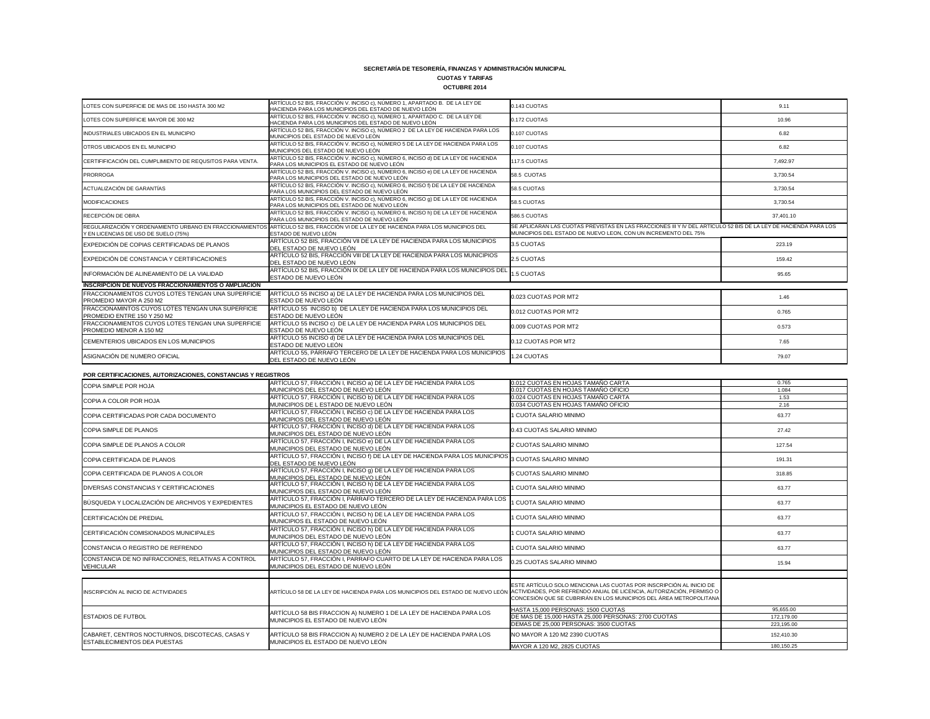## **CUOTAS Y TARIFAS**

#### **OCTUBRE 2014**

| LOTES CON SUPERFICIE DE MAS DE 150 HASTA 300 M2                                                  | ARTÍCULO 52 BIS, FRACCIÓN V. INCISO c), NÚMERO 1, APARTADO B. DE LA LEY DE<br>HACIENDA PARA LOS MUNICIPIOS DEL ESTADO DE NUEVO LEÓN | 0.143 CUOTAS                                                                                                                                                                      | 9.11      |
|--------------------------------------------------------------------------------------------------|-------------------------------------------------------------------------------------------------------------------------------------|-----------------------------------------------------------------------------------------------------------------------------------------------------------------------------------|-----------|
| LOTES CON SUPERFICIE MAYOR DE 300 M2                                                             | ARTÍCULO 52 BIS, FRACCIÓN V. INCISO c), NÚMERO 1, APARTADO C. DE LA LEY DE<br>HACIENDA PARA LOS MUNICIPIOS DEL ESTADO DE NUEVO LEÓN | 0.172 CUOTAS                                                                                                                                                                      | 10.96     |
| INDUSTRIALES UBICADOS EN EL MUNICIPIO                                                            | ARTÍCULO 52 BIS, FRACCIÓN V. INCISO c), NÚMERO 2 DE LA LEY DE HACIENDA PARA LOS<br>MUNICIPIOS DEL ESTADO DE NUEVO LEÓN              | 0.107 CUOTAS                                                                                                                                                                      | 6.82      |
| OTROS UBICADOS EN EL MUNICIPIO                                                                   | ARTÍCULO 52 BIS, FRACCIÓN V. INCISO c), NÚMERO 5 DE LA LEY DE HACIENDA PARA LOS<br>MUNICIPIOS DEL ESTADO DE NUEVO LEÓN              | 0.107 CUOTAS                                                                                                                                                                      | 6.82      |
| CERTIFIFICACIÓN DEL CUMPLIMIENTO DE REQUSITOS PARA VENTA.                                        | ARTÍCULO 52 BIS, FRACCIÓN V. INCISO c), NÚMERO 6, INCISO d) DE LA LEY DE HACIENDA<br>PARA LOS MUNICIPIOS EL ESTADO DE NUEVO LEÓN    | 117.5 CUOTAS                                                                                                                                                                      | 7,492.97  |
| <b>PRORROGA</b>                                                                                  | ARTÍCULO 52 BIS, FRACCIÓN V. INCISO c), NÚMERO 6, INCISO e) DE LA LEY DE HACIENDA<br>PARA LOS MUNICIPIOS DEL ESTADO DE NUEVO LEÓN   | 58.5 CUOTAS                                                                                                                                                                       | 3,730.54  |
| ACTUALIZACIÓN DE GARANTÍAS                                                                       | ARTÍCULO 52 BIS, FRACCIÓN V. INCISO c), NÚMERO 6, INCISO 1) DE LA LEY DE HACIENDA<br>PARA LOS MUNICIPIOS DEL ESTADO DE NUEVO LEÓN   | 58.5 CUOTAS                                                                                                                                                                       | 3,730.54  |
| <b>MODIFICACIONES</b>                                                                            | ARTÍCULO 52 BIS, FRACCIÓN V. INCISO c), NÚMERO 6, INCISO 9) DE LA LEY DE HACIENDA<br>PARA LOS MUNICIPIOS DEL ESTADO DE NUEVO LEÓN   | 58.5 CUOTAS                                                                                                                                                                       | 3,730.54  |
| RECEPCIÓN DE OBRA                                                                                | ARTÍCULO 52 BIS, FRACCIÓN V. INCISO c), NÚMERO 6, INCISO h) DE LA LEY DE HACIENDA<br>PARA LOS MUNICIPIOS DEL ESTADO DE NUEVO LEÓN   | 586.5 CUOTAS                                                                                                                                                                      | 37,401.10 |
| REGULARIZACIÓN Y ORDENAMIENTO URBANO EN FRACCIONAMIENTOS<br>Y EN LICENCIAS DE USO DE SUELO (75%) | ARTÍCULO 52 BIS, FRACCIÓN VI DE LA LEY DE HACIENDA PARA LOS MUNICIPIOS DEL<br>ESTADO DE NUEVO LEÓN                                  | SE APLICARAN LAS CUOTAS PREVISTAS EN LAS FRACCIONES III Y IV DEL ARTÍCULO 52 BIS DE LA LEY DE HACIENDA PARA LOS<br>MUNICIPIOS DEL ESTADO DE NUEVO LEON, CON UN INCREMENTO DEL 75% |           |
| EXPEDICIÓN DE COPIAS CERTIFICADAS DE PLANOS                                                      | ARTÍCULO 52 BIS, FRACCIÓN VII DE LA LEY DE HACIENDA PARA LOS MUNICIPIOS<br>DEL ESTADO DE NUEVO LEÓN                                 | 3.5 CUOTAS                                                                                                                                                                        | 223.19    |
| EXPEDICIÓN DE CONSTANCIA Y CERTIFICACIONES                                                       | ARTÍCULO 52 BIS, FRACCIÓN VIII DE LA LEY DE HACIENDA PARA LOS MUNICIPIOS<br>DEL ESTADO DE NUEVO LEÓN                                | 2.5 CUOTAS                                                                                                                                                                        | 159.42    |
| INFORMACIÓN DE ALINEAMIENTO DE LA VIALIDAD                                                       | ARTÍCULO 52 BIS, FRACCIÓN IX DE LA LEY DE HACIENDA PARA LOS MUNICIPIOS DEL<br>ESTADO DE NUEVO LEÓN                                  | 1.5 CUOTAS                                                                                                                                                                        | 95.65     |
| <b>INSCRIPCION DE NUEVOS FRACCIONAMIENTOS O AMPLIACION</b>                                       |                                                                                                                                     |                                                                                                                                                                                   |           |
| FRACCIONAMIENTOS CUYOS LOTES TENGAN UNA SUPERFICIE<br>PROMEDIO MAYOR A 250 M2                    | ARTÍCULO 55 INCISO a) DE LA LEY DE HACIENDA PARA LOS MUNICIPIOS DEL<br>ESTADO DE NUEVO LEÓN                                         | 0.023 CUOTAS POR MT2                                                                                                                                                              | 1.46      |
| FRACCIONAMINTOS CUYOS LOTES TENGAN UNA SUPERFICIE<br>PROMEDIO ENTRE 150 Y 250 M2                 | ARTÍCULO 55 INCISO b) DE LA LEY DE HACIENDA PARA LOS MUNICIPIOS DEL<br>ESTADO DE NUEVO LEÓN                                         | 0.012 CUOTAS POR MT2                                                                                                                                                              | 0.765     |
| FRACCIONAMIENTOS CUYOS LOTES TENGAN UNA SUPERFICIE<br>PROMEDIO MENOR A 150 M2                    | ARTÍCULO 55 INCISO c) DE LA LEY DE HACIENDA PARA LOS MUNICIPIOS DEL<br>ESTADO DE NUEVO LEÓN                                         | 0.009 CUOTAS POR MT2                                                                                                                                                              | 0.573     |
| CEMENTERIOS UBICADOS EN LOS MUNICIPIOS                                                           | ARTÍCULO 55 INCISO d) DE LA LEY DE HACIENDA PARA LOS MUNICIPIOS DEL<br>ESTADO DE NUEVO LEÓN                                         | 0.12 CUOTAS POR MT2                                                                                                                                                               | 7.65      |
| ASIGNACIÓN DE NUMERO OFICIAL                                                                     | ARTÍCULO 55, PÁRRAFO TERCERO DE LA LEY DE HACIENDA PARA LOS MUNICIPIOS<br>DEL ESTADO DE NUEVO LEÓN                                  | 1.24 CUOTAS                                                                                                                                                                       | 79.07     |
| POR CERTIFICACIONES, AUTORIZACIONES, CONSTANCIAS Y REGISTROS                                     |                                                                                                                                     |                                                                                                                                                                                   |           |
| COPIA SIMPLE POR HOJA                                                                            | ARTÍCULO 57, FRACCIÓN I, INCISO a) DE LA LEY DE HACIENDA PARA LOS                                                                   | 0.012 CUOTAS EN HOJAS TAMAÑO CARTA                                                                                                                                                | 0.765     |
|                                                                                                  | MUNICIPIOS DEL ESTADO DE NUEVO LEÓN                                                                                                 | 0.017 CUOTAS EN HOJAS TAMAÑO OFICIO                                                                                                                                               | 1.084     |
| COPIA A COLOR POR HOJA                                                                           | ARTÍCULO 57, FRACCIÓN I, INCISO b) DE LA LEY DE HACIENDA PARA LOS                                                                   | 0.024 CUOTAS EN HOJAS TAMAÑO CARTA                                                                                                                                                | 1.53      |
|                                                                                                  | MUNICIPIOS DE L ESTADO DE NUEVO LEÓN<br>ARTÍCULO 57, FRACCIÓN I, INCISO c) DE LA LEY DE HACIENDA PARA LOS                           | 0.034 CUOTAS EN HOJAS TAMAÑO OFICIO                                                                                                                                               | 2.16      |
| COPIA CERTIFICADAS POR CADA DOCUMENTO                                                            | MUNICIPIOS DEL ESTADO DE NUEVO LEÓN                                                                                                 | 1 CUOTA SALARIO MINIMO                                                                                                                                                            | 63.77     |
| CODIA CIMPLE DE DI ANOC                                                                          | ARTÍCULO 57, FRACCIÓN I, INCISO d) DE LA LEY DE HACIENDA PARA LOS                                                                   | <b>ONJINIM OIGA IAD SATOLIO &amp; A</b>                                                                                                                                           | 2742      |

| UN ULIN III IUAUIUNLU, AUTUNIZAUIUNLU, UUNUTAIVIAUT NLUIDTINUU                         |                                                                                                                                                     |                                                                                                                                           |            |
|----------------------------------------------------------------------------------------|-----------------------------------------------------------------------------------------------------------------------------------------------------|-------------------------------------------------------------------------------------------------------------------------------------------|------------|
| <b>COPIA SIMPLE POR HOJA</b>                                                           | ARTÍCULO 57, FRACCIÓN I, INCISO a) DE LA LEY DE HACIENDA PARA LOS                                                                                   | 0.012 CUOTAS EN HOJAS TAMAÑO CARTA                                                                                                        | 0.765      |
|                                                                                        | MUNICIPIOS DEL ESTADO DE NUEVO LEÓN                                                                                                                 | 0.017 CUOTAS EN HOJAS TAMAÑO OFICIO                                                                                                       | 1.084      |
| COPIA A COLOR POR HOJA                                                                 | ARTÍCULO 57, FRACCIÓN I, INCISO b) DE LA LEY DE HACIENDA PARA LOS                                                                                   | 0.024 CUOTAS EN HOJAS TAMAÑO CARTA                                                                                                        | 1.53       |
|                                                                                        | MUNICIPIOS DE L ESTADO DE NUEVO LEÓN                                                                                                                | 0.034 CUOTAS EN HOJAS TAMAÑO OFICIO                                                                                                       | 2.16       |
| COPIA CERTIFICADAS POR CADA DOCUMENTO                                                  | ARTÍCULO 57, FRACCIÓN I, INCISO c) DE LA LEY DE HACIENDA PARA LOS<br>MUNICIPIOS DEL ESTADO DE NUEVO LEÓN                                            | 1 CUOTA SALARIO MINIMO                                                                                                                    | 63.77      |
| <b>COPIA SIMPLE DE PLANOS</b>                                                          | ARTÍCULO 57, FRACCIÓN I, INCISO d) DE LA LEY DE HACIENDA PARA LOS<br>MUNICIPIOS DEL ESTADO DE NUEVO LEÓN                                            | 0.43 CUOTAS SALARIO MINIMO                                                                                                                | 27.42      |
| COPIA SIMPLE DE PLANOS A COLOR                                                         | ARTÍCULO 57, FRACCIÓN I, INCISO e) DE LA LEY DE HACIENDA PARA LOS<br>MUNICIPIOS DEL ESTADO DE NUEVO LEÓN                                            | 2 CUOTAS SALARIO MINIMO                                                                                                                   | 127.54     |
| COPIA CERTIFICADA DE PLANOS                                                            | ARTÍCULO 57, FRACCIÓN I, INCISO f) DE LA LEY DE HACIENDA PARA LOS MUNICIPIOS<br>DEL ESTADO DE NUEVO LEÓN                                            | 3 CUOTAS SALARIO MINIMO                                                                                                                   | 191.31     |
| COPIA CERTIFICADA DE PLANOS A COLOR                                                    | ARTÍCULO 57, FRACCIÓN I, INCISO 9) DE LA LEY DE HACIENDA PARA LOS<br>MUNICIPIOS DEL ESTADO DE NUEVO LEÓN                                            | 5 CUOTAS SALARIO MINIMO                                                                                                                   | 318.85     |
| DIVERSAS CONSTANCIAS Y CERTIFICACIONES                                                 | ARTÍCULO 57, FRACCIÓN I, INCISO h) DE LA LEY DE HACIENDA PARA LOS<br>MUNICIPIOS DEL ESTADO DE NUEVO LEÓN                                            | 1 CUOTA SALARIO MINIMO                                                                                                                    | 63.77      |
| BÚSQUEDA Y LOCALIZACIÓN DE ARCHIVOS Y EXPEDIENTES                                      | ARTÍCULO 57, FRACCIÓN I, PÁRRAFO TERCERO DE LA LEY DE HACIENDA PARA LOS<br>MUNICIPIOS EL ESTADO DE NUEVO LEÓN                                       | 1 CUOTA SALARIO MINIMO                                                                                                                    | 63.77      |
| CERTIFICACIÓN DE PREDIAL                                                               | ARTÍCULO 57, FRACCIÓN I, INCISO h) DE LA LEY DE HACIENDA PARA LOS<br>MUNICIPIOS EL ESTADO DE NUEVO LEÓN                                             | 1 CUOTA SALARIO MINIMO                                                                                                                    | 63.77      |
| CERTIFICACIÓN COMISIONADOS MUNICIPALES                                                 | ARTÍCULO 57, FRACCIÓN I, INCISO h) DE LA LEY DE HACIENDA PARA LOS<br>MUNICIPIOS DEL ESTADO DE NUEVO LEÓN                                            | 1 CUOTA SALARIO MINIMO                                                                                                                    | 63.77      |
| CONSTANCIA O REGISTRO DE REFRENDO                                                      | ARTÍCULO 57, FRACCIÓN I, INCISO h) DE LA LEY DE HACIENDA PARA LOS<br>MUNICIPIOS DEL ESTADO DE NUEVO LEÓN                                            | 1 CUOTA SALARIO MINIMO                                                                                                                    | 63.77      |
| CONSTANCIA DE NO INFRACCIONES, RELATIVAS A CONTROL<br><b>VEHICULAR</b>                 | ARTÍCULO 57, FRACCIÓN I, PARRAFO CUARTO DE LA LEY DE HACIENDA PARA LOS<br>MUNICIPIOS DEL ESTADO DE NUEVO LEÓN                                       | 0.25 CUOTAS SALARIO MINIMO                                                                                                                | 15.94      |
|                                                                                        |                                                                                                                                                     |                                                                                                                                           |            |
| INSCRIPCIÓN AL INICIO DE ACTIVIDADES                                                   | ARTÍCULO 58 DE LA LEY DE HACIENDA PARA LOS MUNICIPIOS DEL ESTADO DE NUEVO LEÓN ACTIVIDADES, POR REFRENDO ANUAL DE LICENCIA, AUTORIZACIÓN, PERMISO O | ESTE ARTÍCULO SOLO MENCIONA LAS CUOTAS POR INSCRIPCIÓN AL INICIO DE<br>CONCESIÓN QUE SE CUBRIRÁN EN LOS MUNICIPIOS DEL ÁREA METROPOLITANA |            |
|                                                                                        | ARTÍCULO 58 BIS FRACCION A) NUMERO 1 DE LA LEY DE HACIENDA PARA LOS<br>MUNICIPIOS EL ESTADO DE NUEVO LEÓN                                           | HASTA 15,000 PERSONAS: 1500 CUOTAS                                                                                                        | 95,655.00  |
| <b>ESTADIOS DE FUTBOL</b>                                                              |                                                                                                                                                     | DE MAS DE 15,000 HASTA 25,000 PERSONAS: 2700 CUOTAS                                                                                       | 172,179.00 |
|                                                                                        |                                                                                                                                                     | DEMAS DE 25,000 PERSONAS: 3500 CUOTAS                                                                                                     | 223,195.00 |
| CABARET, CENTROS NOCTURNOS, DISCOTECAS, CASAS Y<br><b>ESTABLECIMIENTOS DEA PUESTAS</b> | ARTÍCULO 58 BIS FRACCION A) NUMERO 2 DE LA LEY DE HACIENDA PARA LOS<br>MUNICIPIOS EL ESTADO DE NUEVO LEÓN                                           | NO MAYOR A 120 M2 2390 CUOTAS                                                                                                             | 152,410.30 |
|                                                                                        |                                                                                                                                                     | MAYOR A 120 M2, 2825 CUOTAS                                                                                                               | 180,150.25 |
|                                                                                        |                                                                                                                                                     |                                                                                                                                           |            |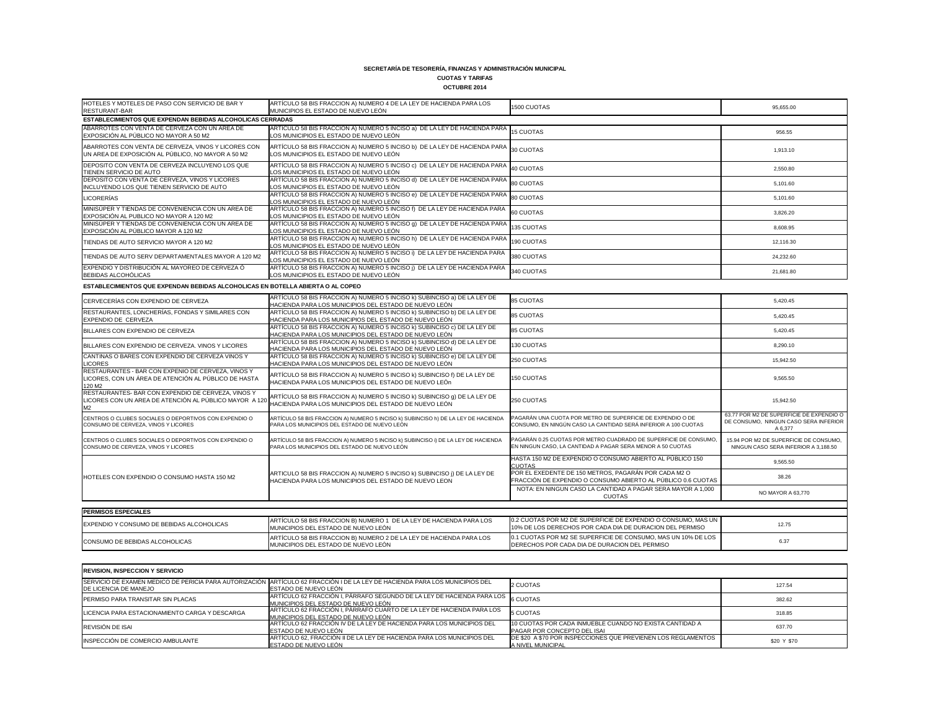### **CUOTAS Y TARIFAS**

| <b>OCTUBRE 2014</b> |
|---------------------|
|---------------------|

| HOTELES Y MOTELES DE PASO CON SERVICIO DE BAR Y<br>RESTURANT-BAR                                          | ARTÍCULO 58 BIS FRACCION A) NUMERO 4 DE LA LEY DE HACIENDA PARA LOS<br>MUNICIPIOS EL ESTADO DE NUEVO LEÓN                                               | 1500 CUOTAS | 95,655.00 |
|-----------------------------------------------------------------------------------------------------------|---------------------------------------------------------------------------------------------------------------------------------------------------------|-------------|-----------|
| ESTABLECIMIENTOS QUE EXPENDAN BEBIDAS ALCOHOLICAS CERRADAS                                                |                                                                                                                                                         |             |           |
| ABARROTES CON VENTA DE CERVEZA CON UN AREA DE<br>EXPOSICIÓN AL PÚBLICO NO MAYOR A 50 M2                   | ARTÍCULO 58 BIS FRACCION A) NUMERO 5 INCISO a) DE LA LEY DE HACIENDA PARA 15 CUOTAS<br>LOS MUNICIPIOS EL ESTADO DE NUEVO LEÓN                           |             | 956.55    |
| ABARROTES CON VENTA DE CERVEZA, VINOS Y LICORES CON<br>UN AREA DE EXPOSICIÓN AL PÚBLICO, NO MAYOR A 50 M2 | ARTÍCULO 58 BIS FRACCION A) NUMERO 5 INCISO b) DE LA LEY DE HACIENDA PARA $\left _{30\atop 30}\right.$ CUOTAS<br>LOS MUNICIPIOS EL ESTADO DE NUEVO LEÓN |             | 1,913.10  |
| DEPOSITO CON VENTA DE CERVEZA INCLUYENO LOS QUE<br>TIENEN SERVICIO DE AUTO                                | ARTÍCULO 58 BIS FRACCION A) NUMERO 5 INCISO c) DE LA LEY DE HACIENDA PARA 40 CUOTAS<br>LOS MUNICIPIOS EL ESTADO DE NUEVO LEÓN                           |             | 2,550.80  |
| DEPOSITO CON VENTA DE CERVEZA, VINOS Y LICORES<br>INCLUYENDO LOS QUE TIENEN SERVICIO DE AUTO              | ARTÍCULO 58 BIS FRACCION A) NUMERO 5 INCISO d) DE LA LEY DE HACIENDA PARA 80 CUOTAS<br>LOS MUNICIPIOS EL ESTADO DE NUEVO LEÓN                           |             | 5,101.60  |
| <b>LICORERÍAS</b>                                                                                         | ARTÍCULO 58 BIS FRACCION A) NUMERO 5 INCISO e) DE LA LEY DE HACIENDA PARA 80 CUOTAS<br>LOS MUNICIPIOS EL ESTADO DE NUEVO LEÓN                           |             | 5,101.60  |
| MINISÚPER Y TIENDAS DE CONVENIENCIA CON UN AREA DE<br>EXPOSICIÓN AL PUBLICO NO MAYOR A 120 M2             | ARTÍCULO 58 BIS FRACCION A) NUMERO 5 INCISO f) DE LA LEY DE HACIENDA PARA<br>LOS MUNICIPIOS EL ESTADO DE NUEVO LEÓN                                     | 60 CUOTAS   | 3,826.20  |
| MINISÚPER Y TIENDAS DE CONVENIENCIA CON UN AREA DE<br>EXPOSICIÓN AL PÚBLICO MAYOR A 120 M2                | ARTÍCULO 58 BIS FRACCION A) NUMERO 5 INCISO 9)  DE LA LEY DE HACIENDA PARA 135 CUOTAS<br>LOS MUNICIPIOS EL ESTADO DE NUEVO LEÓN                         |             | 8,608.95  |
| TIENDAS DE AUTO SERVICIO MAYOR A 120 M2                                                                   | ARTÍCULO 58 BIS FRACCION A) NUMERO 5 INCISO h) DE LA LEY DE HACIENDA PARA 190 CUOTAS<br>LOS MUNICIPIOS EL ESTADO DE NUEVO LEÓN                          |             | 12,116.30 |
| TIENDAS DE AUTO SERV DEPARTAMENTALES MAYOR A 120 M2                                                       | ARTÍCULO 58 BIS FRACCION A) NUMERO 5 INCISO i) DE LA LEY DE HACIENDA PARA<br>LOS MUNICIPIOS EL ESTADO DE NUEVO LEÓN                                     | 380 CUOTAS  | 24,232.60 |
| EXPENDIO Y DISTRIBUCIÓN AL MAYOREO DE CERVEZA Ó<br><b>BEBIDAS ALCOHÓLICAS</b>                             | ARTÍCULO 58 BIS FRACCION A) NUMERO 5 INCISO ¡) DE LA LEY DE HACIENDA PARA<br>LOS MUNICIPIOS EL ESTADO DE NUEVO LEÓN                                     | 340 CUOTAS  | 21,681.80 |
|                                                                                                           |                                                                                                                                                         |             |           |

| CERVECERÍAS CON EXPENDIO DE CERVEZA                                                                                  | ARTÍCULO 58 BIS FRACCION A) NUMERO 5 INCISO k) SUBINCISO a) DE LA LEY DE<br>HACIENDA PARA LOS MUNICIPIOS DEL ESTADO DE NUEVO LEÓN | <b>85 CUOTAS</b>                                                                                                              | 5,420.45                                                                                     |
|----------------------------------------------------------------------------------------------------------------------|-----------------------------------------------------------------------------------------------------------------------------------|-------------------------------------------------------------------------------------------------------------------------------|----------------------------------------------------------------------------------------------|
| RESTAURANTES, LONCHERÍAS, FONDAS Y SIMILARES CON<br>EXPENDIO DE CERVEZA                                              | ARTÍCULO 58 BIS FRACCION A) NUMERO 5 INCISO k) SUBINCISO b) DE LA LEY DE<br>HACIENDA PARA LOS MUNICIPIOS DEL ESTADO DE NUEVO LEÓN | <b>85 CUOTAS</b>                                                                                                              | 5,420.45                                                                                     |
| BILLARES CON EXPENDIO DE CERVEZA                                                                                     | ARTÍCULO 58 BIS FRACCION A) NUMERO 5 INCISO k) SUBINCISO c) DE LA LEY DE<br>HACIENDA PARA LOS MUNICIPIOS DEL ESTADO DE NUEVO LEÓN | <b>85 CUOTAS</b>                                                                                                              | 5,420.45                                                                                     |
| BILLARES CON EXPENDIO DE CERVEZA. VINOS Y LICORES                                                                    | ARTÍCULO 58 BIS FRACCION A) NUMERO 5 INCISO k) SUBINCISO d) DE LA LEY DE<br>HACIENDA PARA LOS MUNICIPIOS DEL ESTADO DE NUEVO LEÓN | 130 CUOTAS                                                                                                                    | 8,290.10                                                                                     |
| CANTINAS O BARES CON EXPENDIO DE CERVEZA VINOS Y<br><b>LICORES</b>                                                   | ARTÍCULO 58 BIS FRACCION A) NUMERO 5 INCISO k) SUBINCISO e) DE LA LEY DE<br>HACIENDA PARA LOS MUNICIPIOS DEL ESTADO DE NUEVO LEÓN | 250 CUOTAS                                                                                                                    | 15,942.50                                                                                    |
| RESTAURANTES - BAR CON EXPENIO DE CERVEZA, VINOS Y<br>LICORES, CON UN ÁREA DE ATENCIÓN AL PÚBLICO DE HASTA<br>120 M2 | ARTÍCULO 58 BIS FRACCION A) NUMERO 5 INCISO k) SUBINCISO f) DE LA LEY DE<br>HACIENDA PARA LOS MUNICIPIOS DEL ESTADO DE NUEVO LEÓN | 150 CUOTAS                                                                                                                    | 9,565.50                                                                                     |
| RESTAURANTES- BAR CON EXPENDIO DE CERVEZA, VINOS Y<br>LICORES CON UN AREA DE ATENCIÓN AL PÚBLICO MAYOR A 120<br>M2   | ARTÍCULO 58 BIS FRACCION A) NUMERO 5 INCISO k) SUBINCISO g) DE LA LEY DE<br>HACIENDA PARA LOS MUNICIPIOS DEL ESTADO DE NUEVO LEÓN | 250 CUOTAS                                                                                                                    | 15,942.50                                                                                    |
| CENTROS O CLUBES SOCIALES O DEPORTIVOS CON EXPENDIO O<br>CONSUMO DE CERVEZA, VINOS Y LICORES                         | ARTÍCULO 58 BIS FRACCION A) NUMERO 5 INCISO k) SUBINCISO h) DE LA LEY DE HACIENDA<br>PARA LOS MUNICIPIOS DEL ESTADO DE NUEVO LEÓN | PAGARÁN UNA CUOTA POR METRO DE SUPERFICIE DE EXPENDIO O DE<br>CONSUMO, EN NINGÚN CASO LA CANTIDAD SERÁ INFERIOR A 100 CUOTAS  | 63.77 POR M2 DE SUPERFICIE DE EXPENDIO O<br>DE CONSUMO, NINGUN CASO SERA INFERIOR<br>A 6,377 |
| CENTROS O CLUBES SOCIALES O DEPORTIVOS CON EXPENDIO O<br>CONSUMO DE CERVEZA, VINOS Y LICORES                         | ARTÍCULO 58 BIS FRACCION A) NUMERO 5 INCISO k) SUBINCISO i) DE LA LEY DE HACIENDA<br>PARA LOS MUNICIPIOS DEL ESTADO DE NUEVO LEÓN | PAGARÁN 0.25 CUOTAS POR METRO CUADRADO DE SUPERFICIE DE CONSUMO<br>EN NINGUN CASO, LA CANTIDAD A PAGAR SERA MENOR A 50 CUOTAS | 15.94 POR M2 DE SUPERFICIE DE CONSUMO,<br>NINGUN CASO SERA INFERIOR A 3.188.50               |
|                                                                                                                      |                                                                                                                                   | HASTA 150 M2 DE EXPENDIO O CONSUMO ABIERTO AL PÚBLICO 150<br><b>CUOTAS</b>                                                    | 9,565.50                                                                                     |
| HOTELES CON EXPENDIO O CONSUMO HASTA 150 M2                                                                          | ARTICULO 58 BIS FRACCION A) NUMERO 5 INCISO k) SUBINCISO ¡) DE LA LEY DE<br>HACIENDA PARA LOS MUNICIPIOS DEL ESTADO DE NUEVO LEON | POR EL EXEDENTE DE 150 METROS, PAGARÁN POR CADA M2 O<br>FRACCIÓN DE EXPENDIO O CONSUMO ABIERTO AL PÚBLICO 0.6 CUOTAS          | 38.26                                                                                        |
|                                                                                                                      |                                                                                                                                   | NOTA: EN NINGUN CASO LA CANTIDAD A PAGAR SERA MAYOR A 1,000<br><b>CUOTAS</b>                                                  | NO MAYOR A 63,770                                                                            |
|                                                                                                                      |                                                                                                                                   |                                                                                                                               |                                                                                              |
| <b>PERMISOS ESPECIALES</b>                                                                                           |                                                                                                                                   |                                                                                                                               |                                                                                              |
| EXPENDIO Y CONSUMO DE BEBIDAS ALCOHOLICAS                                                                            | ARTÍCULO 58 BIS FRACCION B) NUMERO 1 DE LA LEY DE HACIENDA PARA LOS<br>MUNICIPIOS DEL ESTADO DE NUEVO LEÓN                        | 0.2 CUOTAS POR M2 DE SUPERFICIE DE EXPENDIO O CONSUMO, MAS UN<br>10% DE LOS DERECHOS POR CADA DIA DE DURACION DEL PERMISO     | 12.75                                                                                        |
| CONSUMO DE BEBIDAS ALCOHOLICAS                                                                                       | ARTÍCULO 58 BIS FRACCION B) NUMERO 2 DE LA LEY DE HACIENDA PARA LOS<br>MUNICIPIOS DEL ESTADO DE NUEVO LEÓN                        | 0.1 CUOTAS POR M2 SE SUPERFICIE DE CONSUMO, MAS UN 10% DE LOS<br>DERECHOS POR CADA DIA DE DURACION DEL PERMISO                | 6.37                                                                                         |

| CERVECERÍAS CON EXPENDIO DE CERVEZA                                                                                              | ARTÍCULO 58 BIS FRACCION A) NUMERO 5 INCISO K) SUBINCISO a) DE LA LEY DE<br>HACIENDA PARA LOS MUNICIPIOS DEL ESTADO DE NUEVO LEÓN | <b>85 CUOTAS</b>                                                                                                               | 5,420.45                                                                                     |
|----------------------------------------------------------------------------------------------------------------------------------|-----------------------------------------------------------------------------------------------------------------------------------|--------------------------------------------------------------------------------------------------------------------------------|----------------------------------------------------------------------------------------------|
| RESTAURANTES, LONCHERÍAS, FONDAS Y SIMILARES CON<br>EXPENDIO DE CERVEZA                                                          | ARTÍCULO 58 BIS FRACCION A) NUMERO 5 INCISO K) SUBINCISO b) DE LA LEY DE<br>HACIENDA PARA LOS MUNICIPIOS DEL ESTADO DE NUEVO LEÓN | <b>85 CUOTAS</b>                                                                                                               | 5.420.45                                                                                     |
| BILLARES CON EXPENDIO DE CERVEZA                                                                                                 | ARTÍCULO 58 BIS FRACCION A) NUMERO 5 INCISO k) SUBINCISO c) DE LA LEY DE<br>HACIENDA PARA LOS MUNICIPIOS DEL ESTADO DE NUEVO LEÓN | <b>85 CUOTAS</b>                                                                                                               | 5,420.45                                                                                     |
| BILLARES CON EXPENDIO DE CERVEZA. VINOS Y LICORES                                                                                | ARTÍCULO 58 BIS FRACCION A) NUMERO 5 INCISO k) SUBINCISO d) DE LA LEY DE<br>HACIENDA PARA LOS MUNICIPIOS DEL ESTADO DE NUEVO LEÓN | 130 CUOTAS                                                                                                                     | 8,290.10                                                                                     |
| CANTINAS O BARES CON EXPENDIO DE CERVEZA VINOS Y<br><b>LICORES</b>                                                               | ARTÍCULO 58 BIS FRACCION A) NUMERO 5 INCISO k) SUBINCISO e) DE LA LEY DE<br>HACIENDA PARA LOS MUNICIPIOS DEL ESTADO DE NUEVO LEÓN | 250 CUOTAS                                                                                                                     | 15,942.50                                                                                    |
| RESTAURANTES - BAR CON EXPENIO DE CERVEZA, VINOS Y<br>LICORES, CON UN ÁREA DE ATENCIÓN AL PÚBLICO DE HASTA<br>120 M <sub>2</sub> | ARTÍCULO 58 BIS FRACCION A) NUMERO 5 INCISO K) SUBINCISO f) DE LA LEY DE<br>HACIENDA PARA LOS MUNICIPIOS DEL ESTADO DE NUEVO LEÓN | 150 CUOTAS                                                                                                                     | 9,565.50                                                                                     |
| RESTAURANTES- BAR CON EXPENDIO DE CERVEZA, VINOS Y<br>LICORES CON UN AREA DE ATENCIÓN AL PÚBLICO MAYOR A 120                     | ARTÍCULO 58 BIS FRACCION A) NUMERO 5 INCISO k) SUBINCISO g) DE LA LEY DE<br>HACIENDA PARA LOS MUNICIPIOS DEL ESTADO DE NUEVO LEÓN | 250 CUOTAS                                                                                                                     | 15.942.50                                                                                    |
| CENTROS O CLUBES SOCIALES O DEPORTIVOS CON EXPENDIO O<br>CONSUMO DE CERVEZA, VINOS Y LICORES                                     | ARTÍCULO 58 BIS FRACCION A) NUMERO 5 INCISO k) SUBINCISO h) DE LA LEY DE HACIENDA<br>PARA LOS MUNICIPIOS DEL ESTADO DE NUEVO LEÓN | PAGARÁN UNA CUOTA POR METRO DE SUPERFICIE DE EXPENDIO O DE<br>CONSUMO, EN NINGÚN CASO LA CANTIDAD SERÁ INFERIOR A 100 CUOTAS   | 63.77 POR M2 DE SUPERFICIE DE EXPENDIO O<br>DE CONSUMO, NINGUN CASO SERA INFERIOR<br>A 6.377 |
| ICENTROS O CLUBES SOCIALES O DEPORTIVOS CON EXPENDIO O<br>CONSUMO DE CERVEZA, VINOS Y LICORES                                    | ARTÍCULO 58 BIS FRACCION A) NUMERO 5 INCISO k) SUBINCISO i) DE LA LEY DE HACIENDA<br>PARA LOS MUNICIPIOS DEL ESTADO DE NUEVO LEÓN | PAGARÁN 0.25 CUOTAS POR METRO CUADRADO DE SUPERFICIE DE CONSUMO.<br>EN NINGUN CASO, LA CANTIDAD A PAGAR SERA MENOR A 50 CUOTAS | 15.94 POR M2 DE SUPERFICIE DE CONSUMO.<br>NINGUN CASO SERA INFERIOR A 3,188.50               |
|                                                                                                                                  |                                                                                                                                   | HASTA 150 M2 DE EXPENDIO O CONSUMO ABIERTO AL PÚBLICO 150<br><b>CUOTAS</b>                                                     | 9.565.50                                                                                     |
| <b>IHOTELES CON EXPENDIO O CONSUMO HASTA 150 M2</b>                                                                              | ARTICULO 58 BIS FRACCION A) NUMERO 5 INCISO k) SUBINCISO ¡) DE LA LEY DE<br>HACIENDA PARA LOS MUNICIPIOS DEL ESTADO DE NUEVO LEON | POR EL EXEDENTE DE 150 METROS, PAGARÁN POR CADA M2 O<br>FRACCIÓN DE EXPENDIO O CONSUMO ABIERTO AL PÚBLICO 0.6 CUOTAS           | 38.26<br>NO MAYOR A 63,770<br><b>CUOTAS</b><br>12.75                                         |
|                                                                                                                                  |                                                                                                                                   | NOTA: EN NINGUN CASO LA CANTIDAD A PAGAR SERA MAYOR A 1,000                                                                    |                                                                                              |
| <b>PERMISOS ESPECIALES</b>                                                                                                       |                                                                                                                                   |                                                                                                                                |                                                                                              |
|                                                                                                                                  | ARTÍCULO 58 BIS FRACCION B) NUMERO 1 DE LA LEY DE HACIENDA PARA LOS                                                               | 0.2 CUOTAS POR M2 DE SUPERFICIE DE EXPENDIO O CONSUMO, MAS UN                                                                  |                                                                                              |
| EXPENDIO Y CONSUMO DE BEBIDAS ALCOHOLICAS                                                                                        | MUNICIPIOS DEL ESTADO DE NUEVO LEÓN                                                                                               | 10% DE LOS DERECHOS POR CADA DIA DE DURACION DEL PERMISO                                                                       |                                                                                              |
| CONSUMO DE BEBIDAS ALCOHOLICAS                                                                                                   | ARTÍCULO 58 BIS FRACCION B) NUMERO 2 DE LA LEY DE HACIENDA PARA LOS<br>MUNICIPIOS DEL ESTADO DE NUEVO LEÓN                        | 0.1 CUOTAS POR M2 SE SUPERFICIE DE CONSUMO, MAS UN 10% DE LOS<br>DERECHOS POR CADA DIA DE DURACION DEL PERMISO                 | 6.37                                                                                         |

**ESTABLECIMIENTOS QUE EXPENDAN BEBIDAS ALCOHOLICAS EN BOTELLA ABIERTA O AL COPEO**

| <b>REVISION, INSPECCION Y SERVICIO</b>         |                                                                                                                                                             |                                                                                               |             |
|------------------------------------------------|-------------------------------------------------------------------------------------------------------------------------------------------------------------|-----------------------------------------------------------------------------------------------|-------------|
| DE LICENCIA DE MANEJO                          | SERVICIO DE EXAMEN MEDICO DE PERICIA PARA AUTORIZACIÓN ARTÍCULO 62 FRACCIÓN I DE LA LEY DE HACIENDA PARA LOS MUNICIPIOS DEL<br><b>LESTADO DE NUEVO LEÓN</b> | 2 CUOTAS                                                                                      | 127.54      |
| <b>PERMISO PARA TRANSITAR SIN PLACAS</b>       | ARTÍCULO 62 FRACCIÓN I, PÁRRAFO SEGUNDO DE LA LEY DE HACIENDA PARA LOS 6 CUOTAS<br>MUNICIPIOS DEL ESTADO DE NUEVO LEÓN                                      |                                                                                               | 382.62      |
| LICENCIA PARA ESTACIONAMIENTO CARGA Y DESCARGA | ARTÍCULO 62 FRACCIÓN I, PÁRRAFO CUARTO DE LA LEY DE HACIENDA PARA LOS<br>MUNICIPIOS DEL ESTADO DE NUEVO LEÓN                                                | <b>5 CUOTAS</b>                                                                               | 318.85      |
| REVISIÓN DE ISAI                               | ARTÍCULO 62 FRACCIÓN IV DE LA LEY DE HACIENDA PARA LOS MUNICIPIOS DEL<br>ESTADO DE NUEVO LEÓN                                                               | 10 CUOTAS POR CADA INMUEBLE CUANDO NO EXISTA CANTIDAD A<br><b>PAGAR POR CONCEPTO DEL ISAI</b> | 637.70      |
| INSPECCIÓN DE COMERCIO AMBULANTE               | ARTÍCULO 62, FRACCIÓN II DE LA LEY DE HACIENDA PARA LOS MUNICIPIOS DEL<br><b>ESTADO DE NUEVO LEÓN</b>                                                       | DE \$20 A \$70 POR INSPECCIONES QUE PREVIENEN LOS REGLAMENTOS<br><b>A NIVEL MUNICIPAL</b>     | \$20 Y \$70 |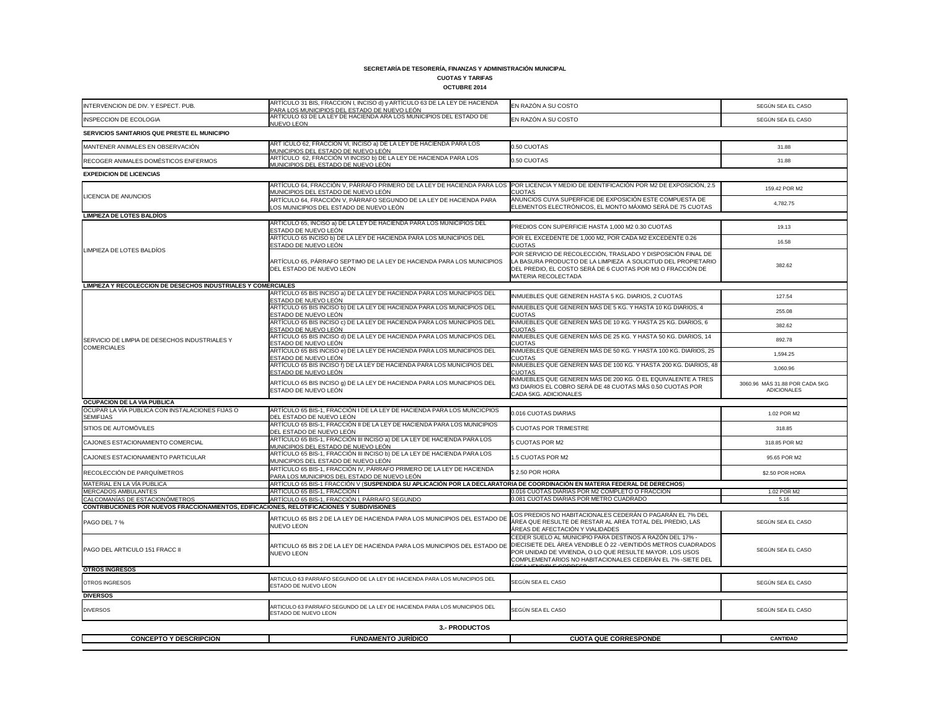## **CUOTAS Y TARIFAS**

| INTERVENCION DE DIV. Y ESPECT. PUB.                                                         | ARTÍCULO 31 BIS, FRACCION I, INCISO d) y ARTÍCULO 63 DE LA LEY DE HACIENDA<br>PARA LOS MUNICIPIOS DEL ESTADO DE NUEVO LEÓN                                    | EN RAZÓN A SU COSTO                                                                                                                                                                                                | SEGÚN SEA EL CASO                                    |
|---------------------------------------------------------------------------------------------|---------------------------------------------------------------------------------------------------------------------------------------------------------------|--------------------------------------------------------------------------------------------------------------------------------------------------------------------------------------------------------------------|------------------------------------------------------|
| <b>INSPECCION DE ECOLOGIA</b>                                                               | ARTICULO 63 DE LA LEY DE HACIENDA ARA LOS MUNICIPIOS DEL ESTADO DE                                                                                            | EN RAZÓN A SU COSTO                                                                                                                                                                                                | SEGÚN SEA EL CASO                                    |
| SERVICIOS SANITARIOS QUE PRESTE EL MUNICIPIO                                                | NUEVO LEON                                                                                                                                                    |                                                                                                                                                                                                                    |                                                      |
| MANTENER ANIMALES EN OBSERVACIÓN                                                            | ART ÍCULO 62, FRACCIÓN VI, INCISO a) DE LA LEY DE HACIENDA PARA LOS                                                                                           | 0.50 CUOTAS                                                                                                                                                                                                        | 31.88                                                |
| RECOGER ANIMALES DOMÉSTICOS ENFERMOS                                                        | MUNICIPIOS DEL ESTADO DE NUEVO LEÓN<br>ARTÍCULO 62, FRACCIÓN VI INCISO b) DE LA LEY DE HACIENDA PARA LOS<br><u>MUNICIPIOS DEL ESTADO DE NUEVO LEÓN</u>        | 0.50 CUOTAS                                                                                                                                                                                                        | 31.88                                                |
| <b>EXPEDICION DE LICENCIAS</b>                                                              |                                                                                                                                                               |                                                                                                                                                                                                                    |                                                      |
|                                                                                             | ARTÍCULO 64, FRACCIÓN V, PÁRRAFO PRIMERO DE LA LEY DE HACIENDA PARA LOS ¶POR LICENCIA Y MEDIO DE IDENTIFICACIÓN POR M2 DE EXPOSICIÓN, 2.5                     |                                                                                                                                                                                                                    | 159.42 POR M2                                        |
| LICENCIA DE ANUNCIOS                                                                        | MUNICIPIOS DEL ESTADO DE NUEVO LEÓN<br>ARTÍCULO 64, FRACCIÓN V, PÁRRAFO SEGUNDO DE LA LEY DE HACIENDA PARA                                                    | <b>CUOTAS</b><br>ANUNCIOS CUYA SUPERFICIE DE EXPOSICIÓN ESTE COMPUESTA DE                                                                                                                                          |                                                      |
| <b>LIMPIEZA DE LOTES BALDÍOS</b>                                                            | LOS MUNICIPIOS DEL ESTADO DE NUEVO LEÓN                                                                                                                       | ELEMENTOS ELECTRÓNICOS, EL MONTO MÁXIMO SERÁ DE 75 CUOTAS                                                                                                                                                          | 4,782.75                                             |
|                                                                                             | ARTÍCULO 65, INCISO a) DE LA LEY DE HACIENDA PARA LOS MUNICIPIOS DEL                                                                                          |                                                                                                                                                                                                                    |                                                      |
|                                                                                             | ESTADO DE NUEVO LEÓN<br>ARTÍCULO 65 INCISO b) DE LA LEY DE HACIENDA PARA LOS MUNICIPIOS DEL                                                                   | PREDIOS CON SUPERFICIE HASTA 1,000 M2 0.30 CUOTAS                                                                                                                                                                  | 19.13                                                |
| LIMPIEZA DE LOTES BALDÍOS                                                                   | ESTADO DE NUEVO LEÓN                                                                                                                                          | POR EL EXCEDENTE DE 1,000 M2, POR CADA M2 EXCEDENTE 0.26<br><b>CUOTAS</b>                                                                                                                                          | 16.58                                                |
|                                                                                             | ARTÍCULO 65, PÁRRAFO SEPTIMO DE LA LEY DE HACIENDA PARA LOS MUNICIPIOS<br>DEL ESTADO DE NUEVO LEÓN                                                            | POR SERVICIO DE RECOLECCIÓN, TRASLADO Y DISPOSICIÓN FINAL DE<br>LA BASURA PRODUCTO DE LA LIMPIEZA A SOLICITUD DEL PROPIETARIO<br>DEL PREDIO, EL COSTO SERÁ DE 6 CUOTAS POR M3 O FRACCIÓN DE<br>MATERIA RECOLECTADA | 382.62                                               |
| LIMPIEZA Y RECOLECCION DE DESECHOS INDUSTRIALES Y COMERCIALES                               |                                                                                                                                                               |                                                                                                                                                                                                                    |                                                      |
|                                                                                             | ARTÍCULO 65 BIS INCISO a) DE LA LEY DE HACIENDA PARA LOS MUNICIPIOS DEL<br>ESTADO DE NUEVO LEÓN                                                               | INMUEBLES QUE GENEREN HASTA 5 KG. DIARIOS, 2 CUOTAS                                                                                                                                                                | 127.54                                               |
|                                                                                             | ARTÍCULO 65 BIS INCISO b) DE LA LEY DE HACIENDA PARA LOS MUNICIPIOS DEL<br>ESTADO DE NUEVO LEÓN                                                               | INMUEBLES QUE GENEREN MÁS DE 5 KG. Y HASTA 10 KG DIARIOS, 4<br><b>CUOTAS</b>                                                                                                                                       | 255.08                                               |
|                                                                                             | ARTÍCULO 65 BIS INCISO c) DE LA LEY DE HACIENDA PARA LOS MUNICIPIOS DEL<br>ESTADO DE NUEVO LEÓN                                                               | INMUEBLES QUE GENEREN MÁS DE 10 KG. Y HASTA 25 KG. DIARIOS, 6<br><b>CUOTAS</b>                                                                                                                                     | 382.62                                               |
| SERVICIO DE LIMPIA DE DESECHOS INDUSTRIALES Y                                               | ARTÍCULO 65 BIS INCISO d) DE LA LEY DE HACIENDA PARA LOS MUNICIPIOS DEL<br>ESTADO DE NUEVO LEÓN                                                               | INMUEBLES QUE GENEREN MÁS DE 25 KG. Y HASTA 50 KG. DIARIOS, 14<br><b>CUOTAS</b>                                                                                                                                    | 892.78                                               |
| <b>COMERCIALES</b>                                                                          | ARTÍCULO 65 BIS INCISO e) DE LA LEY DE HACIENDA PARA LOS MUNICIPIOS DEL<br>ESTADO DE NUEVO LEÓN                                                               | INMUEBLES QUE GENEREN MÁS DE 50 KG. Y HASTA 100 KG. DIARIOS, 25<br><b>CUOTAS</b>                                                                                                                                   | 1,594.25                                             |
|                                                                                             | ARTÍCULO 65 BIS INCISO f) DE LA LEY DE HACIENDA PARA LOS MUNICIPIOS DEL<br><u>ESTADO DE NUEVO LEÓN</u>                                                        | INMUEBLES QUE GENEREN MÁS DE 100 KG. Y HASTA 200 KG. DIARIOS, 48<br><b>CUOTAS</b>                                                                                                                                  | 3,060.96                                             |
|                                                                                             | ARTÍCULO 65 BIS INCISO 9) DE LA LEY DE HACIENDA PARA LOS MUNICIPIOS DEL<br>ESTADO DE NUEVO LEÓN                                                               | INMUEBLES QUE GENEREN MÁS DE 200 KG. Ó EL EQUIVALENTE A TRES<br>M3 DIARIOS EL COBRO SERÁ DE 48 CUOTAS MÁS 0.50 CUOTAS POR<br>CADA 5KG. ADICIONALES                                                                 | 3060.96 MÁS 31.88 POR CADA 5KG<br><b>ADICIONALES</b> |
| <b>OCUPACION DE LA VIA PUBLICA</b>                                                          |                                                                                                                                                               |                                                                                                                                                                                                                    |                                                      |
| OCUPAR LA VÍA PUBLICA CON INSTALACIONES FIJAS O<br><b>SEMIFIJAS</b>                         | ARTÍCULO 65 BIS-1, FRACCIÓN I DE LA LEY DE HACIENDA PARA LOS MUNCICPIOS<br>DEL ESTADO DE NUEVO LEÓN                                                           | 0.016 CUOTAS DIARIAS                                                                                                                                                                                               | 1.02 POR M2                                          |
| SITIOS DE AUTOMÓVILES                                                                       | ARTÍCULO 65 BIS-1, FRACCIÓN II DE LA LEY DE HACIENDA PARA LOS MUNICIPIOS<br>DEL ESTADO DE NUEVO LEÓN                                                          | 5 CUOTAS POR TRIMESTRE                                                                                                                                                                                             | 318.85                                               |
| CAJONES ESTACIONAMIENTO COMERCIAL                                                           | ARTÍCULO 65 BIS-1, FRACCIÓN III INCISO a) DE LA LEY DE HACIENDA PARA LOS<br>MUNICIPIOS DEL ESTADO DE NUEVO LEÓN                                               | 5 CUOTAS POR M2                                                                                                                                                                                                    | 318.85 POR M2                                        |
| CAJONES ESTACIONAMIENTO PARTICULAR                                                          | ARTÍCULO 65 BIS-1, FRACCIÓN III INCISO b) DE LA LEY DE HACIENDA PARA LOS<br>MUNICIPIOS DEL ESTADO DE NUEVO LEÓN                                               | 1.5 CUOTAS POR M2                                                                                                                                                                                                  | 95.65 POR M2                                         |
| RECOLECCIÓN DE PARQUÍMETROS                                                                 | ARTÍCULO 65 BIS-1, FRACCIÓN IV, PÁRRAFO PRIMERO DE LA LEY DE HACIENDA<br>PARA LOS MUNICIPIOS DEL ESTADO DE NUEVO LEÓN                                         | \$2.50 POR HORA                                                                                                                                                                                                    | \$2.50 POR HORA                                      |
| MATERIAL EN LA VÍA PUBLICA                                                                  | ARTÍCULO 65 BIS-1 FRACCIÓN V ( <b>SUSPENDIDA SU APLICACIÓN POR LA DECLARATORIA DE COORDINACIÓN EN MATERIA FEDERAL DE DERECHOS</b> )                           |                                                                                                                                                                                                                    |                                                      |
| MERCADOS AMBULANTES<br>CALCOMANÍAS DE ESTACIONÓMETROS                                       | ARTÍCULO 65 BIS-1, FRACCIÓN I<br>ARTÍCULO 65 BIS-1, FRACCIÓN I, PÁRRAFO SEGUNDO                                                                               | 0.016 CUOTAS DIARIAS POR M2 COMPLETO O FRACCION<br>0.081 CUOTAS DIARIAS POR METRO CUADRADO                                                                                                                         | 1.02 POR M2                                          |
| CONTRIBUCIONES POR NUEVOS FRACCIONAMIENTOS, EDIFICACIONES, RELOTIFICACIONES Y SUBDIVISIONES |                                                                                                                                                               |                                                                                                                                                                                                                    | 5.16                                                 |
| PAGO DEL 7 %                                                                                | ARTICULO 65 BIS 2 DE LA LEY DE HACIENDA PARA LOS MUNICIPIOS DEL ESTADO DE<br><b>NUEVO LEON</b>                                                                | LOS PREDIOS NO HABITACIONALES CEDERÁN O PAGARÁN EL 7% DEL<br>ÁREA QUE RESULTE DE RESTAR AL AREA TOTAL DEL PREDIO, LAS<br>ÁREAS DE AFECTACIÓN Y VIALIDADES                                                          | SEGÚN SEA EL CASO                                    |
| PAGO DEL ARTICULO 151 FRACC II                                                              | ARTICULO 65 BIS 2 DE LA LEY DE HACIENDA PARA LOS MUNICIPIOS DEL ESTADO DE ODIECISIETE DEL ÁREA VENDIBLE Ó 22 -VEINTIDÓS METROS CUADRADOS<br><b>NUEVO LEON</b> | CEDER SUELO AL MUNICIPIO PARA DESTINOS A RAZÓN DEL 17% -<br>POR UNIDAD DE VIVIENDA, O LO QUE RESULTE MAYOR. LOS USOS<br>COMPLEMENTARIOS NO HABITACIONALES CEDERÁN EL 7% -SIETE DEL                                 | SEGÚN SEA EL CASO                                    |
| <b>OTROS INGRESOS</b>                                                                       |                                                                                                                                                               |                                                                                                                                                                                                                    |                                                      |
| <b>OTROS INGRESOS</b>                                                                       | ARTICULO 63 PARRAFO SEGUNDO DE LA LEY DE HACIENDA PARA LOS MUNICIPIOS DEL<br>ESTADO DE NUEVO LEON                                                             | SEGÚN SEA EL CASO                                                                                                                                                                                                  | SEGÚN SEA EL CASO                                    |
| <b>DIVERSOS</b>                                                                             |                                                                                                                                                               |                                                                                                                                                                                                                    |                                                      |
| <b>DIVERSOS</b>                                                                             | ARTICULO 63 PARRAFO SEGUNDO DE LA LEY DE HACIENDA PARA LOS MUNICIPIOS DEL<br>ESTADO DE NUEVO LEON                                                             | SEGÚN SEA EL CASO                                                                                                                                                                                                  | SEGÚN SEA EL CASO                                    |
| 3.- PRODUCTOS                                                                               |                                                                                                                                                               |                                                                                                                                                                                                                    |                                                      |
| <b>CONCEPTO Y DESCRIPCION</b>                                                               | <b>FUNDAMENTO JURÍDICO</b>                                                                                                                                    | <b>CUOTA QUE CORRESPONDE</b>                                                                                                                                                                                       | <b>CANTIDAD</b>                                      |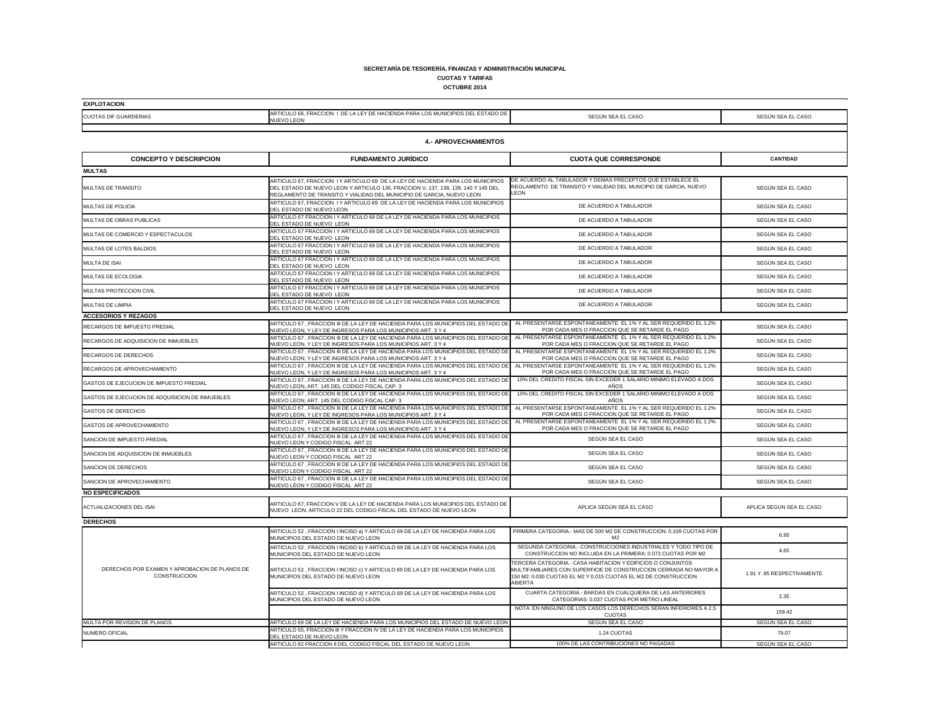#### **SECRETARÍA DE TESORERÍA, FINANZAS Y ADMINISTRACIÓN MUNICIPAL CUOTAS Y TARIFAS**

# **OCTUBRE 2014**

Т

| EXPLOTACION                  |                                                                                                  |  |
|------------------------------|--------------------------------------------------------------------------------------------------|--|
| <b>CUOTAS DIF GUARDERIAS</b> | ARTICULO 66, FRACCION I DE LA LEY DE HACIENDA PARA LOS MUNICIPIOS DEL ESTADO DE  <br>INUEVO LEON |  |

| <b>CUOTAS DIF GUARDERIAS</b>                                         | <u>MNTIOULO 00, FINNOOION TI DE EN EET DE FINOIENDA FINNI EOO MONIOII IOO DEE EOTADO DE</u><br><b>NUEVO LEON</b>                                                                                                                              | SEGÚN SEA EL CASO                                                                                                                                                                                                     | SEGÚN SEA EL CASO         |
|----------------------------------------------------------------------|-----------------------------------------------------------------------------------------------------------------------------------------------------------------------------------------------------------------------------------------------|-----------------------------------------------------------------------------------------------------------------------------------------------------------------------------------------------------------------------|---------------------------|
|                                                                      |                                                                                                                                                                                                                                               |                                                                                                                                                                                                                       |                           |
| <b>4.- APROVECHAMIENTOS</b>                                          |                                                                                                                                                                                                                                               |                                                                                                                                                                                                                       |                           |
| <b>CONCEPTO Y DESCRIPCION</b>                                        | <b>FUNDAMENTO JURÍDICO</b>                                                                                                                                                                                                                    | <b>CUOTA QUE CORRESPONDE</b>                                                                                                                                                                                          | <b>CANTIDAD</b>           |
| <b>MULTAS</b>                                                        |                                                                                                                                                                                                                                               |                                                                                                                                                                                                                       |                           |
| <b>MULTAS DE TRANSITO</b>                                            | ARTICULO 67, FRACCION I Y ARTICULO 69 DE LA LEY DE HACIENDA PARA LOS MUNICIPIOS<br>DEL ESTADO DE NUEVO LEON Y ARTICULO 136, FRACCION V, 137, 138, 139, 140 Y 145 DEL<br>REGLAMENTO DE TRANSITO Y VIALIDAD DEL MUNICIPIO DE GARCIA, NUEVO LEON | DE ACUERDO AL TABULADOR Y DEMAS PRECEPTOS QUE ESTABLECE EL<br>REGLAMENTO DE TRANSITO Y VIALIDAD DEL MUNCIPIO DE GARCIA, NUEVO<br><b>LEON</b>                                                                          | SEGÚN SEA EL CASO         |
| MULTAS DE POLICIA                                                    | ARTICULO 67, FRACCION I Y ARTICULO 69 DE LA LEY DE HACIENDA PARA LOS MUNICIPIOS<br>DEL ESTADO DE NUEVO LEON                                                                                                                                   | DE ACUERDO A TABULADOR                                                                                                                                                                                                | SEGÚN SEA EL CASO         |
| MULTAS DE OBRAS PUBLICAS                                             | ARTICULO 67 FRACCION I Y ARTICULO 69 DE LA LEY DE HACIENDA PARA LOS MUNICIPIOS<br>DEL ESTADO DE NUEVO LEON                                                                                                                                    | DE ACUERDO A TABULADOR                                                                                                                                                                                                | SEGÚN SEA EL CASO         |
| MULTAS DE COMERCIO Y ESPECTACULOS                                    | ARTICULO 67 FRACCION I Y ARTICULO 69 DE LA LEY DE HACIENDA PARA LOS MUNICIPIOS<br>DEL ESTADO DE NUEVO LEON                                                                                                                                    | DE ACUERDO A TABULADOR                                                                                                                                                                                                | SEGÚN SEA EL CASO         |
| MULTAS DE LOTES BALDIOS                                              | ARTICULO 67 FRACCION I Y ARTICULO 69 DE LA LEY DE HACIENDA PARA LOS MUNICIPIOS<br>DEL ESTADO DE NUEVO LEON                                                                                                                                    | DE ACUERDO A TABULADOR                                                                                                                                                                                                | SEGÚN SEA EL CASO         |
| <b>MULTA DE ISAI</b>                                                 | ARTICULO 67 FRACCION I Y ARTICULO 69 DE LA LEY DE HACIENDA PARA LOS MUNICIPIOS<br>DEL ESTADO DE NUEVO LEON                                                                                                                                    | DE ACUERDO A TABULADOR                                                                                                                                                                                                | SEGÚN SEA EL CASO         |
| <b>MULTAS DE ECOLOGIA</b>                                            | ARTICULO 67 FRACCION I Y ARTICULO 69 DE LA LEY DE HACIENDA PARA LOS MUNICIPIOS<br>DEL ESTADO DE NUEVO LEON                                                                                                                                    | DE ACUERDO A TABULADOR                                                                                                                                                                                                | SEGÚN SEA EL CASO         |
| MULTAS PROTECCION CIVIL                                              | ARTICULO 67 FRACCION I Y ARTICULO 69 DE LA LEY DE HACIENDA PARA LOS MUNICIPIOS<br>DEL ESTADO DE NUEVO LEON                                                                                                                                    | DE ACUERDO A TABULADOR                                                                                                                                                                                                | SEGÚN SEA EL CASO         |
| MULTAS DE LIMPIA                                                     | ARTICULO 67 FRACCION I Y ARTICULO 69 DE LA LEY DE HACIENDA PARA LOS MUNICIPIOS<br>DEL ESTADO DE NUEVO LEON                                                                                                                                    | DE ACUERDO A TABULADOR                                                                                                                                                                                                | SEGÚN SEA EL CASO         |
| <b>ACCESORIOS Y REZAGOS</b>                                          |                                                                                                                                                                                                                                               |                                                                                                                                                                                                                       |                           |
| RECARGOS DE IMPUESTO PREDIAL                                         | ARTICULO 67, FRACCION III DE LA LEY DE HACIENDA PARA LOS MUNICIPIOS DEL ESTADO DE<br>NUEVO LEON, Y LEY DE INGRESOS PARA LOS MUNICIPIOS ART. 3 Y 4                                                                                             | AL PRESENTARSE ESPONTANEAMENTE EL 1% Y AL SER REQUERIDO EL 1.2%<br>POR CADA MES O FRACCION QUE SE RETARDE EL PAGO                                                                                                     | SEGÚN SEA EL CASO         |
| <b>RECARGOS DE ADQUISICION DE INMUEBLES</b>                          | ARTICULO 67, FRACCION III DE LA LEY DE HACIENDA PARA LOS MUNICIPIOS DEL ESTADO DE<br>NUEVO LEON, Y LEY DE INGRESOS PARA LOS MUNICIPIOS ART. 3 Y 4                                                                                             | AL PRESENTARSE ESPONTANEAMENTE EL 1% Y AL SER REQUERIDO EL 1.2%<br>POR CADA MES O FRACCION QUE SE RETARDE EL PAGO                                                                                                     | SEGÚN SEA EL CASO         |
| RECARGOS DE DERECHOS                                                 | ARTICULO 67, FRACCION III DE LA LEY DE HACIENDA PARA LOS MUNICIPIOS DEL ESTADO DE<br>NUEVO LEON, Y LEY DE INGRESOS PARA LOS MUNICIPIOS ART. 3 Y 4                                                                                             | AL PRESENTARSE ESPONTANEAMENTE EL 1% Y AL SER REQUERIDO EL 1.2%<br>POR CADA MES O FRACCION QUE SE RETARDE EL PAGO                                                                                                     | SEGÚN SEA EL CASO         |
| RECARGOS DE APROVECHAMIENTO                                          | ARTICULO 67, FRACCION III DE LA LEY DE HACIENDA PARA LOS MUNICIPIOS DEL ESTADO DE<br>NUEVO LEON, Y LEY DE INGRESOS PARA LOS MUNICIPIOS ART. 3 Y 4                                                                                             | AL PRESENTARSE ESPONTANEAMENTE EL 1% Y AL SER REQUERIDO EL 1.2%<br>POR CADA MES O FRACCION QUE SE RETARDE EL PAGO                                                                                                     | SEGÚN SEA EL CASO         |
| GASTOS DE EJECUCION DE IMPUESTO PREDIAL                              | ARTICULO 67, FRACCION III DE LA LEY DE HACIENDA PARA LOS MUNICIPIOS DEL ESTADO DE<br>NUEVO LEON, ART. 145 DEL CODIGO FISCAL CAP. 3                                                                                                            | 10% DEL CREDITO FISCAL SIN EXCEDER 1 SALARIO MINIMO ELEVADO A DOS<br>AÑOS                                                                                                                                             | SEGÚN SEA EL CASO         |
| GASTOS DE EJECUCION DE ADQUISICION DE INMUEBLES                      | ARTICULO 67, FRACCION III DE LA LEY DE HACIENDA PARA LOS MUNICIPIOS DEL ESTADO DE<br>NUEVO LEON, ART. 145 DEL CODIGO FISCAL CAP. 3                                                                                                            | 10% DEL CREDITO FISCAL SIN EXCEDER 1 SALARIO MINIMO ELEVADO A DOS<br>AÑOS                                                                                                                                             | SEGÚN SEA EL CASO         |
| <b>GASTOS DE DERECHOS</b>                                            | ARTICULO 67, FRACCION III DE LA LEY DE HACIENDA PARA LOS MUNICIPIOS DEL ESTADO DE AL PRESENTARSE ESPONTANEAMENTE EL 1% Y AL SER REQUERIDO EL 1.2%<br>INUEVO LEON, Y LEY DE INGRESOS PARA LOS MUNICIPIOS ART, 3 Y 4                            | POR CADA MES O FRACCION QUE SE RETARDE EL PAGO                                                                                                                                                                        | SEGÚN SEA EL CASO         |
| GASTOS DE APROVECHAMIENTO                                            | ARTICULO 67, FRACCION III DE LA LEY DE HACIENDA PARA LOS MUNICIPIOS DEL ESTADO DE<br>NUEVO LEON, Y LEY DE INGRESOS PARA LOS MUNICIPIOS ART. 3 Y 4                                                                                             | AL PRESENTARSE ESPONTANEAMENTE EL 1% Y AL SER REQUERIDO EL 1.2%<br>POR CADA MES O FRACCION QUE SE RETARDE EL PAGO                                                                                                     | SEGÚN SEA EL CASO         |
| SANCION DE IMPUESTO PREDIAL                                          | ARTICULO 67, FRACCION III DE LA LEY DE HACIENDA PARA LOS MUNICIPIOS DEL ESTADO DE<br>NUEVO LEON Y CODIGO FISCAL ART 22                                                                                                                        | SEGÚN SEA EL CASO                                                                                                                                                                                                     | SEGÚN SEA EL CASO         |
| SANCION DE ADQUISICION DE INMUEBLES                                  | ARTICULO 67, FRACCION III DE LA LEY DE HACIENDA PARA LOS MUNICIPIOS DEL ESTADO DE<br>NUEVO LEON Y CODIGO FISCAL ART 22                                                                                                                        | SEGÚN SEA EL CASO                                                                                                                                                                                                     | SEGUN SEA EL CASO         |
| SANCION DE DERECHOS                                                  | ARTICULO 67, FRACCION III DE LA LEY DE HACIENDA PARA LOS MUNICIPIOS DEL ESTADO DE<br>NUEVO LEON Y CODIGO FISCAL ART 22                                                                                                                        | SEGÚN SEA EL CASO                                                                                                                                                                                                     | SEGÚN SEA EL CASO         |
| SANCION DE APROVECHAMIENTO                                           | ARTICULO 67, FRACCION III DE LA LEY DE HACIENDA PARA LOS MUNICIPIOS DEL ESTADO DE<br>NUEVO LEON Y CODIGO FISCAL ART 22                                                                                                                        | SEGÚN SEA EL CASO                                                                                                                                                                                                     | SEGÚN SEA EL CASO         |
| <b>NO ESPECIFICADOS</b>                                              |                                                                                                                                                                                                                                               |                                                                                                                                                                                                                       |                           |
| <b>ACTUALIZACIONES DEL ISAI</b>                                      | ARTICULO 67, FRACCION V DE LA LEY DE HACIENDA PARA LOS MUNICIPIOS DEL ESTADO DE<br>NUEVO LEON, ARTICULO 22 DEL CODIGO FISCAL DEL ESTADO DE NUEVO LEON                                                                                         | APLICA SEGÚN SEA EL CASO                                                                                                                                                                                              | APLICA SEGÚN SEA EL CASO  |
| <b>DERECHOS</b>                                                      |                                                                                                                                                                                                                                               |                                                                                                                                                                                                                       |                           |
|                                                                      | ARTICULO 52, FRACCION I INCISO a) Y ARTICULO 69 DE LA LEY DE HACIENDA PARA LOS<br>MUNICIPIOS DEL ESTADO DE NUEVO LEON                                                                                                                         | PRIMERA CATEGORIA.- MAS DE 500 M2 DE CONSTRUCCION: 0.109 CUOTAS POR<br>M2                                                                                                                                             | 6.95                      |
| DERECHOS POR EXAMEN Y APROBACION DE PLANOS DE<br><b>CONSTRUCCION</b> | ARTICULO 52, FRACCION I INCISO b) Y ARTICULO 69 DE LA LEY DE HACIENDA PARA LOS<br>MUNICIPIOS DEL ESTADO DE NUEVO LEON                                                                                                                         | SEGUNDA CATEGORIA.- CONSTRUCCIONES INDUSTRIALES Y TODO TIPO DE<br>CONSTRUCCION NO INCLUIDA EN LA PRIMERA: 0.073 CUOTAS POR M2                                                                                         | 4.65                      |
|                                                                      | ARTICULO 52, FRACCION I INCISO c) Y ARTICULO 69 DE LA LEY DE HACIENDA PARA LOS<br>MUNICIPIOS DEL ESTADO DE NUEVO LEON                                                                                                                         | TERCERA CATEGORIA.- CASA HABITACION Y EDIFICIOS O CONJUNTOS<br>MULTIFAMILIARES CON SUPERFICIE DE CONSTRUCCION CERRADA NO MAYOR A<br>150 M2: 0.030 CUOTAS EL M2 Y 0.015 CUOTAS EL M2 DE CONSTRUCCION<br><b>ABIERTA</b> | 1.91 Y.95 RESPECTIVAMENTE |
|                                                                      | ARTICULO 52, FRACCION I INCISO d) Y ARTICULO 69 DE LA LEY DE HACIENDA PARA LOS<br>MUNICIPIOS DEL ESTADO DE NUEVO LEON                                                                                                                         | CUARTA CATEGORIA.- BARDAS EN CUALQUIERA DE LAS ANTERIORES<br>CATEGORIAS: 0.037 CUOTAS POR METRO LINEAL                                                                                                                | 2.35                      |
|                                                                      |                                                                                                                                                                                                                                               | NOTA: EN NINGUNO DE LOS CASOS LOS DERECHOS SERAN INFERIORES A 2.5<br><b>CUOTAS</b>                                                                                                                                    | 159.42                    |
| MULTA POR REVISION DE PLANOS                                         | ARTICULO 69 DE LA LEY DE HACIENDA PARA LOS MUNICIPIOS DEL ESTADO DE NUEVO LEON                                                                                                                                                                | SEGÚN SEA EL CASO                                                                                                                                                                                                     | SEGÚN SEA EL CASO         |
| <b>NUMERO OFICIAL</b>                                                | ARTICULO 55, FRACCION III Y FRACCION IV DE LA LEY DE HACIENDA PARA LOS MUNICIPIOS<br>DEL ESTADO DE NUEVO LEON                                                                                                                                 | 1.24 CUOTAS                                                                                                                                                                                                           | 79.07                     |
|                                                                      | ARTICULO 82 FRACCION II DEL CODIGO FISCAL DEL ESTADO DE NUEVO LEON                                                                                                                                                                            | 100% DE LAS CONTRIBUCIONES NO PAGADAS                                                                                                                                                                                 | SEGÚN SEA EL CASO         |